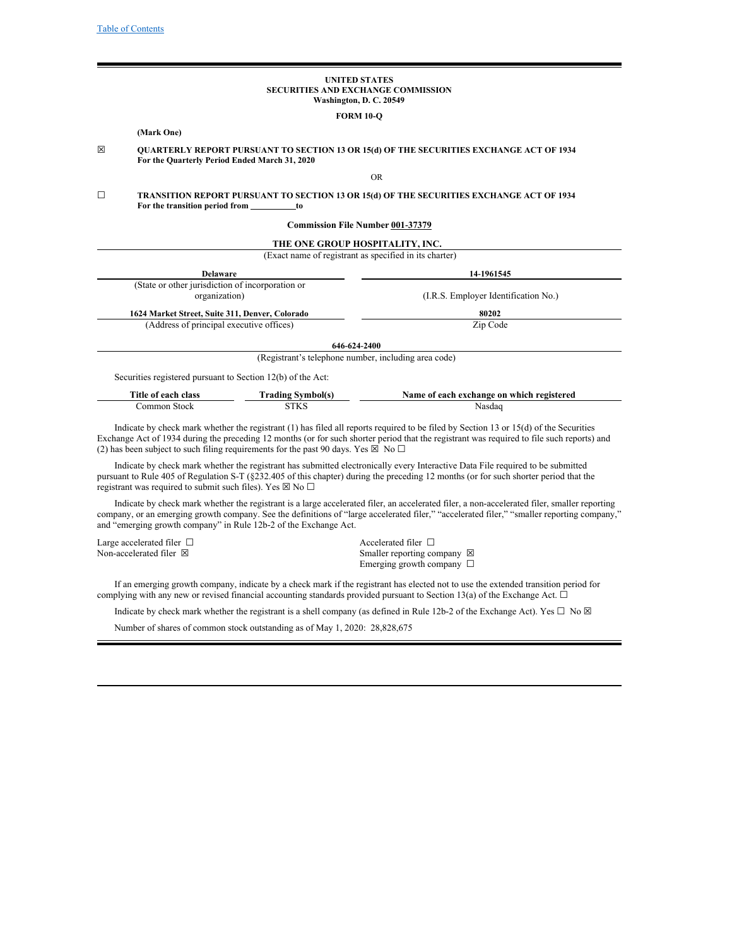## **UNITED STATES SECURITIES AND EXCHANGE COMMISSION Washington, D. C. 20549**

### **FORM 10-Q**

## **(Mark One)**

☒ **QUARTERLY REPORT PURSUANT TO SECTION 13 OR 15(d) OF THE SECURITIES EXCHANGE ACT OF 1934 For the Quarterly Period Ended March 31, 2020**

## OR

☐ **TRANSITION REPORT PURSUANT TO SECTION 13 OR 15(d) OF THE SECURITIES EXCHANGE ACT OF 1934 For the transition period from to**

### **Commission File Number 001‑37379**

| (Exact name of registrant as specified in its charter)<br>14-1961545 |  |  |
|----------------------------------------------------------------------|--|--|
|                                                                      |  |  |
|                                                                      |  |  |
| (I.R.S. Employer Identification No.)                                 |  |  |
| 80202                                                                |  |  |
| Zip Code                                                             |  |  |
|                                                                      |  |  |
| (Registrant's telephone number, including area code)                 |  |  |
|                                                                      |  |  |

| Title of each class | [ˈrading Svmbol(s) | Name of each exchange on which registered |
|---------------------|--------------------|-------------------------------------------|
| Jommon Stock        | STKS               | Nasdac                                    |

Indicate by check mark whether the registrant (1) has filed all reports required to be filed by Section 13 or 15(d) of the Securities Exchange Act of 1934 during the preceding 12 months (or for such shorter period that the registrant was required to file such reports) and (2) has been subject to such filing requirements for the past 90 days. Yes  $\boxtimes \overline{\otimes}$  No  $\Box$ 

Indicate by check mark whether the registrant has submitted electronically every Interactive Data File required to be submitted pursuant to Rule 405 of Regulation S-T (§232.405 of this chapter) during the preceding 12 months (or for such shorter period that the registrant was required to submit such files). Yes  $\boxtimes$  No  $\Box$ 

Indicate by check mark whether the registrant is a large accelerated filer, an accelerated filer, a non-accelerated filer, smaller reporting company, or an emerging growth company. See the definitions of "large accelerated filer," "accelerated filer," "smaller reporting company," and "emerging growth company" in Rule 12b-2 of the Exchange Act.

| Large accelerated filer $\Box$ | Accelerated filer $\Box$              |
|--------------------------------|---------------------------------------|
| Non-accelerated filer ⊠        | Smaller reporting company $\boxtimes$ |
|                                | Emerging growth company $\Box$        |

If an emerging growth company, indicate by a check mark if the registrant has elected not to use the extended transition period for complying with any new or revised financial accounting standards provided pursuant to Section 13(a) of the Exchange Act.  $\Box$ 

Indicate by check mark whether the registrant is a shell company (as defined in Rule 12b-2 of the Exchange Act). Yes  $\Box$  No  $\boxtimes$ 

Number of shares of common stock outstanding as of May 1, 2020: 28,828,675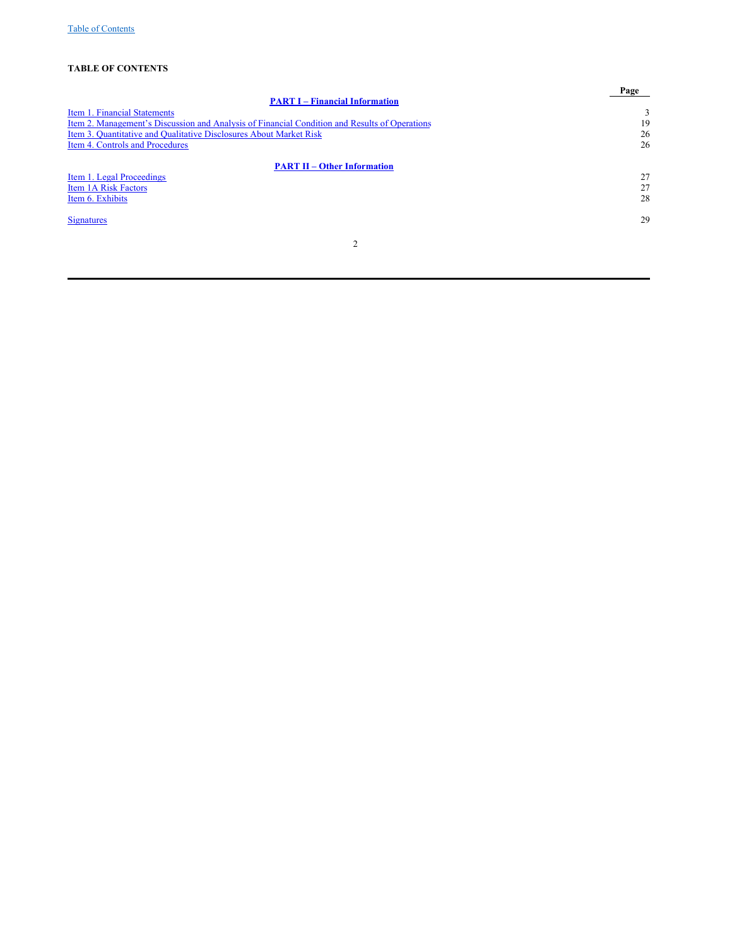# **TABLE OF CONTENTS**

<span id="page-1-0"></span>

|                                                                                               | Page |
|-----------------------------------------------------------------------------------------------|------|
| <b>PART I – Financial Information</b>                                                         |      |
| Item 1. Financial Statements                                                                  | 3    |
| Item 2. Management's Discussion and Analysis of Financial Condition and Results of Operations | 19   |
| Item 3. Quantitative and Qualitative Disclosures About Market Risk                            | 26   |
| Item 4. Controls and Procedures                                                               | 26   |
| <b>PART II - Other Information</b>                                                            |      |
| Item 1. Legal Proceedings                                                                     | 27   |
| <b>Item 1A Risk Factors</b>                                                                   | 27   |
| Item 6. Exhibits                                                                              | 28   |
| <b>Signatures</b>                                                                             | 29   |
| $\overline{2}$                                                                                |      |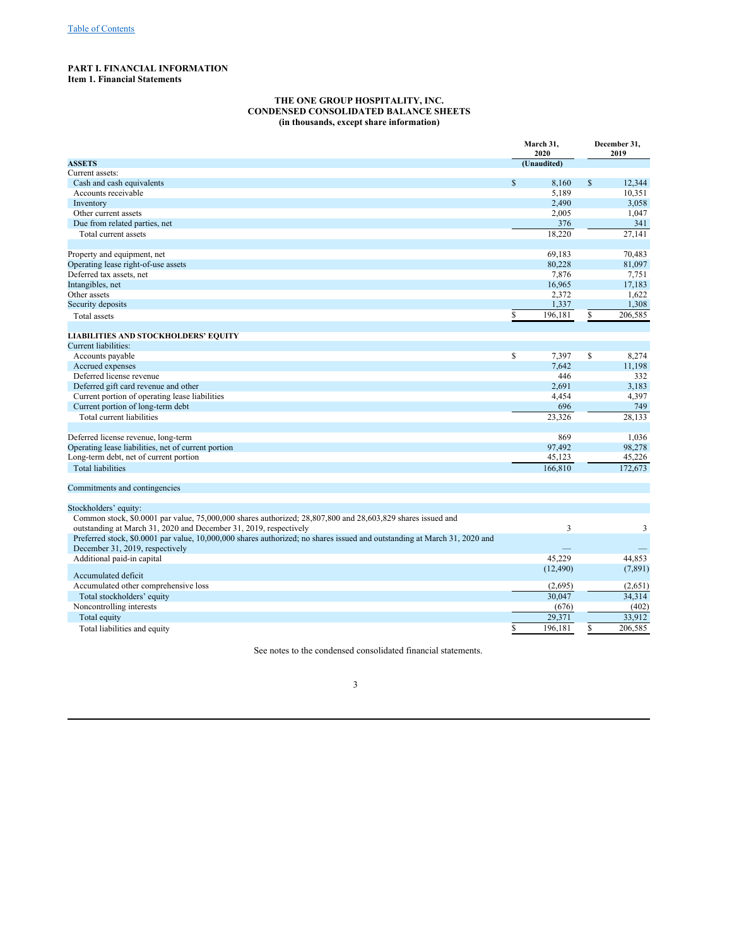## **PART I. FINANCIAL INFORMATION Item 1. Financial Statements**

## <span id="page-2-1"></span><span id="page-2-0"></span>**THE ONE GROUP HOSPITALITY, INC. CONDENSED CONSOLIDATED BALANCE SHEETS (in thousands, except share information)**

|                                                                                                                           | March 31,<br>2020 |             | December 31,<br>2019 |          |  |
|---------------------------------------------------------------------------------------------------------------------------|-------------------|-------------|----------------------|----------|--|
| <b>ASSETS</b>                                                                                                             |                   | (Unaudited) |                      |          |  |
| Current assets:                                                                                                           |                   |             |                      |          |  |
| Cash and cash equivalents                                                                                                 | $\mathbb S$       | 8,160       | \$                   | 12,344   |  |
| Accounts receivable                                                                                                       |                   | 5,189       |                      | 10,351   |  |
| Inventory                                                                                                                 |                   | 2,490       |                      | 3,058    |  |
| Other current assets                                                                                                      |                   | 2,005       |                      | 1,047    |  |
| Due from related parties, net                                                                                             |                   | 376         |                      | 341      |  |
| Total current assets                                                                                                      |                   | 18,220      |                      | 27,141   |  |
| Property and equipment, net                                                                                               |                   | 69,183      |                      | 70,483   |  |
| Operating lease right-of-use assets                                                                                       |                   | 80,228      |                      | 81,097   |  |
| Deferred tax assets, net                                                                                                  |                   | 7,876       |                      | 7,751    |  |
| Intangibles, net                                                                                                          |                   | 16,965      |                      | 17,183   |  |
| Other assets                                                                                                              |                   | 2,372       |                      | 1,622    |  |
| Security deposits                                                                                                         |                   | 1,337       |                      | 1,308    |  |
| Total assets                                                                                                              | \$                | 196,181     | \$                   | 206,585  |  |
| <b>LIABILITIES AND STOCKHOLDERS' EQUITY</b>                                                                               |                   |             |                      |          |  |
| <b>Current liabilities:</b>                                                                                               |                   |             |                      |          |  |
| Accounts payable                                                                                                          | \$                | 7,397       | \$                   | 8,274    |  |
| Accrued expenses                                                                                                          |                   | 7,642       |                      | 11,198   |  |
| Deferred license revenue                                                                                                  |                   | 446         |                      | 332      |  |
| Deferred gift card revenue and other                                                                                      |                   | 2,691       |                      | 3,183    |  |
| Current portion of operating lease liabilities                                                                            |                   | 4,454       |                      | 4,397    |  |
| Current portion of long-term debt                                                                                         |                   | 696         |                      | 749      |  |
| Total current liabilities                                                                                                 |                   | 23,326      |                      | 28,133   |  |
|                                                                                                                           |                   |             |                      |          |  |
| Deferred license revenue, long-term                                                                                       |                   | 869         |                      | 1,036    |  |
| Operating lease liabilities, net of current portion                                                                       |                   | 97,492      |                      | 98,278   |  |
| Long-term debt, net of current portion                                                                                    |                   | 45,123      |                      | 45,226   |  |
| <b>Total liabilities</b>                                                                                                  |                   | 166,810     |                      | 172,673  |  |
| Commitments and contingencies                                                                                             |                   |             |                      |          |  |
|                                                                                                                           |                   |             |                      |          |  |
| Stockholders' equity:                                                                                                     |                   |             |                      |          |  |
| Common stock, \$0.0001 par value, 75,000,000 shares authorized; 28,807,800 and 28,603,829 shares issued and               |                   |             |                      |          |  |
| outstanding at March 31, 2020 and December 31, 2019, respectively                                                         |                   | 3           |                      | 3        |  |
| Preferred stock, \$0.0001 par value, 10,000,000 shares authorized; no shares issued and outstanding at March 31, 2020 and |                   |             |                      |          |  |
| December 31, 2019, respectively                                                                                           |                   |             |                      |          |  |
| Additional paid-in capital                                                                                                |                   | 45.229      |                      | 44.853   |  |
| Accumulated deficit                                                                                                       |                   | (12, 490)   |                      | (7, 891) |  |
| Accumulated other comprehensive loss                                                                                      |                   | (2,695)     |                      | (2,651)  |  |
| Total stockholders' equity                                                                                                |                   | 30,047      |                      | 34,314   |  |
| Noncontrolling interests                                                                                                  |                   | (676)       |                      | (402)    |  |
| Total equity                                                                                                              |                   | 29,371      |                      | 33,912   |  |
| Total liabilities and equity                                                                                              | \$                | 196,181     | \$                   | 206,585  |  |

See notes to the condensed consolidated financial statements.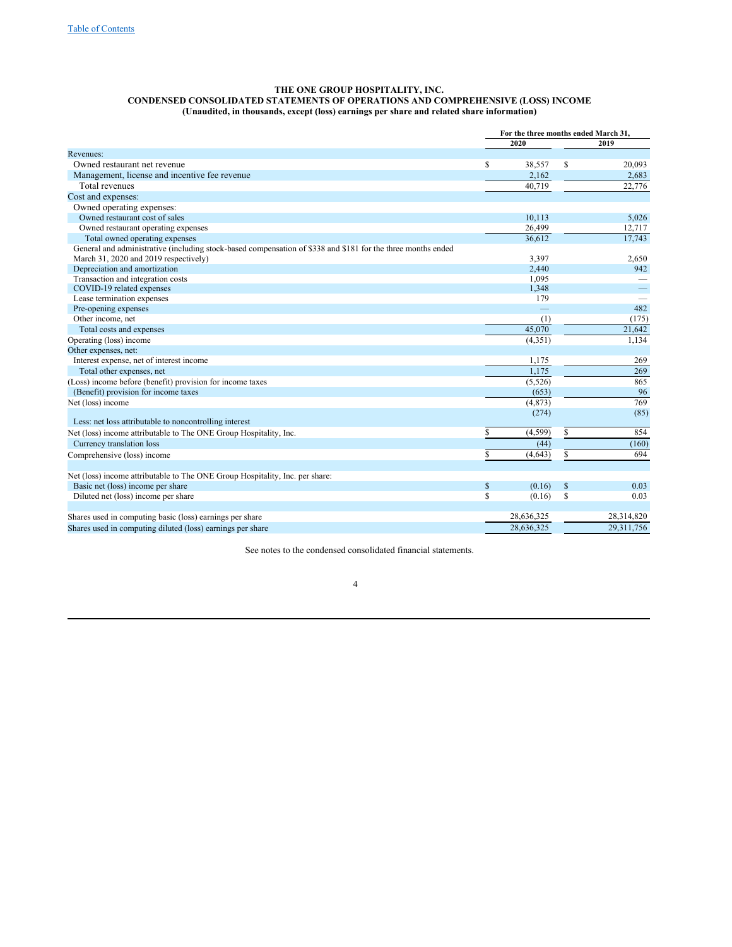## **THE ONE GROUP HOSPITALITY, INC. CONDENSED CONSOLIDATED STATEMENTS OF OPERATIONS AND COMPREHENSIVE (LOSS) INCOME (Unaudited, in thousands, except (loss) earnings per share and related share information)**

|                                                                                                              | For the three months ended March 31. |            |              |            |
|--------------------------------------------------------------------------------------------------------------|--------------------------------------|------------|--------------|------------|
|                                                                                                              |                                      | 2020       |              | 2019       |
| Revenues:                                                                                                    |                                      |            |              |            |
| Owned restaurant net revenue                                                                                 | $\mathbb{S}$                         | 38,557     | S            | 20,093     |
| Management, license and incentive fee revenue                                                                |                                      | 2,162      |              | 2,683      |
| Total revenues                                                                                               |                                      | 40.719     |              | 22,776     |
| Cost and expenses:                                                                                           |                                      |            |              |            |
| Owned operating expenses:                                                                                    |                                      |            |              |            |
| Owned restaurant cost of sales                                                                               |                                      | 10.113     |              | 5,026      |
| Owned restaurant operating expenses                                                                          |                                      | 26,499     |              | 12,717     |
| Total owned operating expenses                                                                               |                                      | 36,612     |              | 17,743     |
| General and administrative (including stock-based compensation of \$338 and \$181 for the three months ended |                                      |            |              |            |
| March 31, 2020 and 2019 respectively)                                                                        |                                      | 3,397      |              | 2,650      |
| Depreciation and amortization                                                                                |                                      | 2,440      |              | 942        |
| Transaction and integration costs                                                                            |                                      | 1,095      |              |            |
| COVID-19 related expenses                                                                                    |                                      | 1,348      |              |            |
| Lease termination expenses                                                                                   |                                      | 179        |              |            |
| Pre-opening expenses                                                                                         |                                      |            |              | 482        |
| Other income, net                                                                                            |                                      | (1)        |              | (175)      |
| Total costs and expenses                                                                                     |                                      | 45,070     |              | 21,642     |
| Operating (loss) income                                                                                      |                                      | (4, 351)   |              | 1,134      |
| Other expenses, net:                                                                                         |                                      |            |              |            |
| Interest expense, net of interest income                                                                     |                                      | 1,175      |              | 269        |
| Total other expenses, net                                                                                    |                                      | 1,175      |              | 269        |
| (Loss) income before (benefit) provision for income taxes                                                    |                                      | (5, 526)   |              | 865        |
| (Benefit) provision for income taxes                                                                         |                                      | (653)      |              | 96         |
| Net (loss) income                                                                                            |                                      | (4, 873)   |              | 769        |
|                                                                                                              |                                      | (274)      |              | (85)       |
| Less: net loss attributable to noncontrolling interest                                                       |                                      |            |              |            |
| Net (loss) income attributable to The ONE Group Hospitality, Inc.                                            | S                                    | (4, 599)   | \$           | 854        |
| Currency translation loss                                                                                    |                                      | (44)       |              | (160)      |
| Comprehensive (loss) income                                                                                  | S                                    | (4,643)    | S            | 694        |
|                                                                                                              |                                      |            |              |            |
| Net (loss) income attributable to The ONE Group Hospitality, Inc. per share:                                 |                                      |            |              |            |
| Basic net (loss) income per share                                                                            | $\mathbb{S}$                         | (0.16)     | $\mathbb{S}$ | 0.03       |
| Diluted net (loss) income per share                                                                          | S                                    | (0.16)     | S            | 0.03       |
| Shares used in computing basic (loss) earnings per share                                                     |                                      | 28,636,325 |              | 28,314,820 |
| Shares used in computing diluted (loss) earnings per share                                                   |                                      | 28,636,325 |              | 29,311,756 |

See notes to the condensed consolidated financial statements.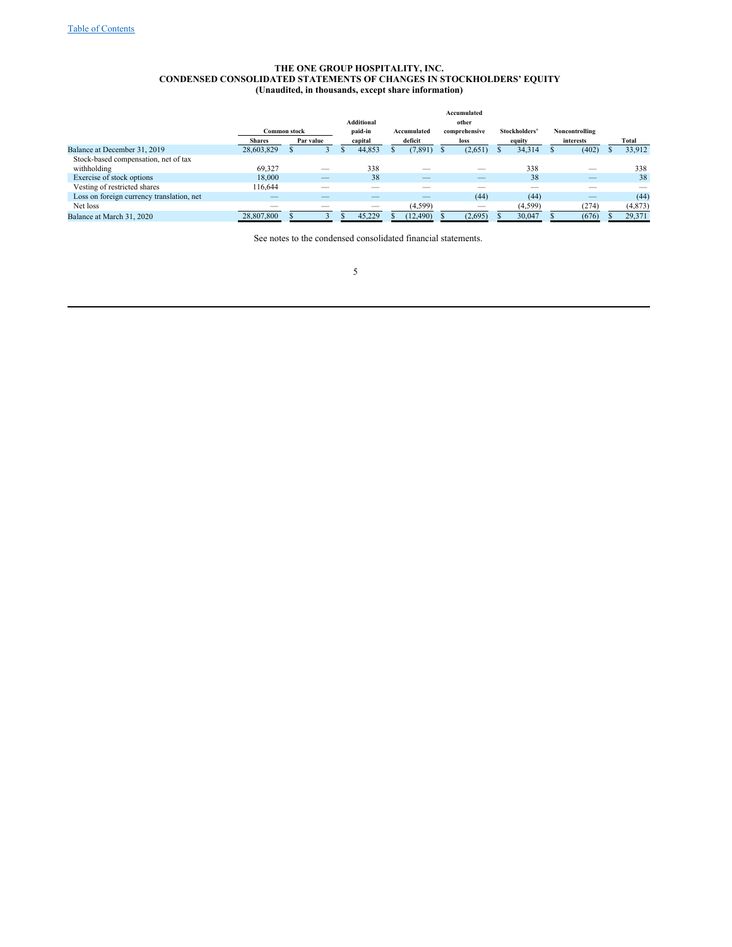## **THE ONE GROUP HOSPITALITY, INC. CONDENSED CONSOLIDATED STATEMENTS OF CHANGES IN STOCKHOLDERS' EQUITY (Unaudited, in thousands, except share information)**

|                                           |                     |                          |                          |             | Accumulated              |               |                |                          |
|-------------------------------------------|---------------------|--------------------------|--------------------------|-------------|--------------------------|---------------|----------------|--------------------------|
|                                           |                     |                          | <b>Additional</b>        |             | other                    |               |                |                          |
|                                           | <b>Common stock</b> |                          | paid-in                  | Accumulated | comprehensive            | Stockholders' | Noncontrolling |                          |
|                                           | <b>Shares</b>       | Par value                | capital                  | deficit     | loss                     | equity        | interests      | Total                    |
| Balance at December 31, 2019              | 28,603,829          |                          | 44.853                   | (7,891)     | (2,651)                  | 34.314        | (402)          | 33,912                   |
| Stock-based compensation, net of tax      |                     |                          |                          |             |                          |               |                |                          |
| withholding                               | 69.327              |                          | 338                      |             |                          | 338           |                | 338                      |
| Exercise of stock options                 | 18,000              | $\overline{\phantom{m}}$ | 38                       | $\sim$      | $\overline{\phantom{a}}$ | 38            |                | 38                       |
| Vesting of restricted shares              | 116,644             | __                       | $\overline{\phantom{a}}$ |             | __                       | --            |                | $\overline{\phantom{a}}$ |
| Loss on foreign currency translation, net | $\sim$              |                          |                          |             | (44)                     | (44)          |                | (44)                     |
| Net loss                                  | __                  |                          | $\overline{\phantom{a}}$ | (4, 599)    |                          | (4, 599)      | (274)          | (4,873)                  |
| Balance at March 31, 2020                 | 28,807,800          |                          | 45,229                   | (12, 490)   | (2,695)                  | 30,047        | (676)          | 29,371                   |

See notes to the condensed consolidated financial statements.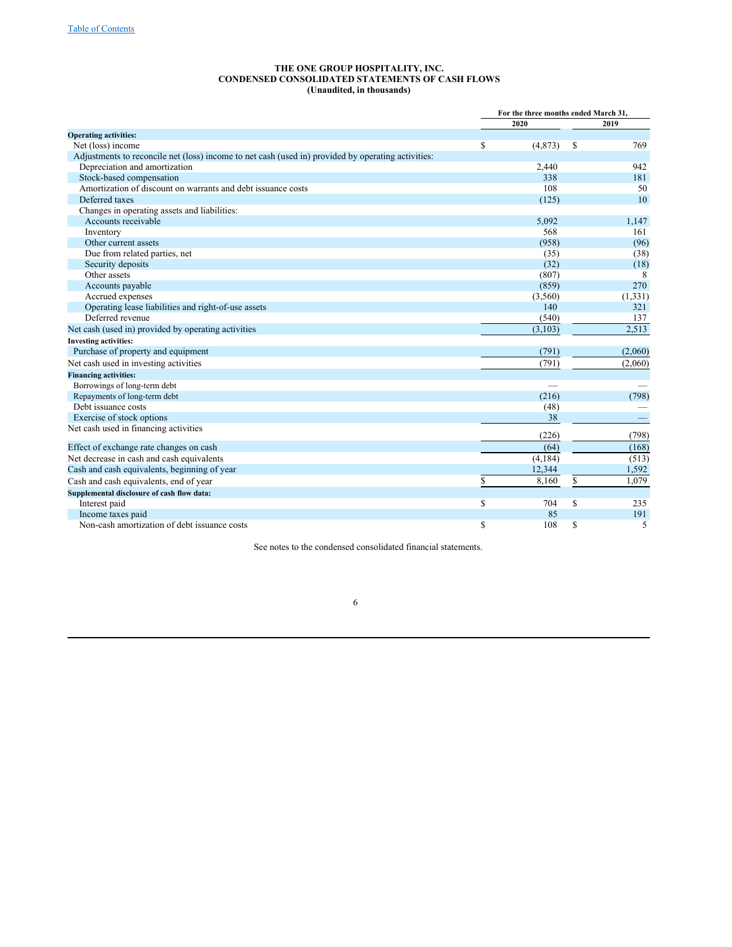#### **THE ONE GROUP HOSPITALITY, INC. CONDENSED CONSOLIDATED STATEMENTS OF CASH FLOWS (Unaudited, in thousands)**

|                                                                                                    | For the three months ended March 31, |    |          |
|----------------------------------------------------------------------------------------------------|--------------------------------------|----|----------|
|                                                                                                    | 2020                                 |    | 2019     |
| <b>Operating activities:</b>                                                                       |                                      |    |          |
| Net (loss) income                                                                                  | \$<br>(4,873)                        | \$ | 769      |
| Adjustments to reconcile net (loss) income to net cash (used in) provided by operating activities: |                                      |    |          |
| Depreciation and amortization                                                                      | 2,440                                |    | 942      |
| Stock-based compensation                                                                           | 338                                  |    | 181      |
| Amortization of discount on warrants and debt issuance costs                                       | 108                                  |    | 50       |
| Deferred taxes                                                                                     | (125)                                |    | 10       |
| Changes in operating assets and liabilities:                                                       |                                      |    |          |
| Accounts receivable                                                                                | 5,092                                |    | 1,147    |
| Inventory                                                                                          | 568                                  |    | 161      |
| Other current assets                                                                               | (958)                                |    | (96)     |
| Due from related parties, net                                                                      | (35)                                 |    | (38)     |
| Security deposits                                                                                  | (32)                                 |    | (18)     |
| Other assets                                                                                       | (807)                                |    | 8        |
| Accounts payable                                                                                   | (859)                                |    | 270      |
| Accrued expenses                                                                                   | (3,560)                              |    | (1, 331) |
| Operating lease liabilities and right-of-use assets                                                | 140                                  |    | 321      |
| Deferred revenue                                                                                   | (540)                                |    | 137      |
| Net cash (used in) provided by operating activities                                                | (3,103)                              |    | 2,513    |
| <b>Investing activities:</b>                                                                       |                                      |    |          |
| Purchase of property and equipment                                                                 | (791)                                |    | (2,060)  |
| Net cash used in investing activities                                                              | (791)                                |    | (2,060)  |
| <b>Financing activities:</b>                                                                       |                                      |    |          |
| Borrowings of long-term debt                                                                       |                                      |    |          |
| Repayments of long-term debt                                                                       | (216)                                |    | (798)    |
| Debt issuance costs                                                                                | (48)                                 |    |          |
| Exercise of stock options                                                                          | 38                                   |    |          |
| Net cash used in financing activities                                                              |                                      |    |          |
|                                                                                                    | (226)                                |    | (798)    |
| Effect of exchange rate changes on cash                                                            | (64)                                 |    | (168)    |
| Net decrease in cash and cash equivalents                                                          | (4,184)                              |    | (513)    |
| Cash and cash equivalents, beginning of year                                                       | 12,344                               |    | 1,592    |
| Cash and cash equivalents, end of year                                                             | \$<br>8,160                          | \$ | 1.079    |
| Supplemental disclosure of cash flow data:                                                         |                                      |    |          |
| Interest paid                                                                                      | \$<br>704                            | \$ | 235      |
| Income taxes paid                                                                                  | 85                                   |    | 191      |
| Non-cash amortization of debt issuance costs                                                       | \$<br>108                            | S  | 5        |

See notes to the condensed consolidated financial statements.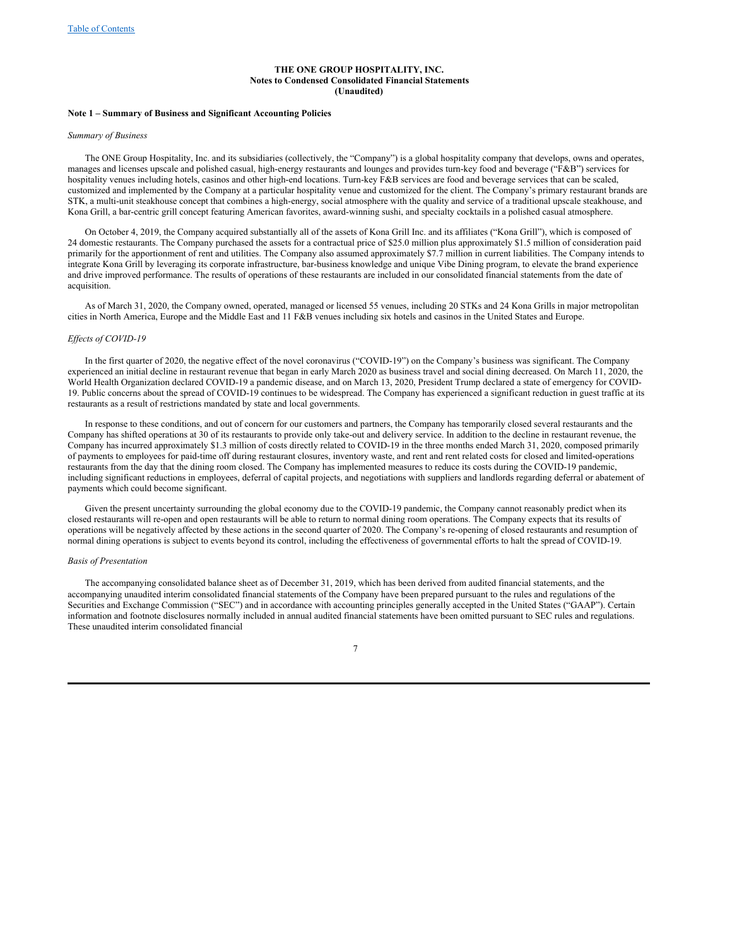#### **THE ONE GROUP HOSPITALITY, INC. Notes to Condensed Consolidated Financial Statements (Unaudited)**

### **Note 1 – Summary of Business and Significant Accounting Policies**

## *Summary of Business*

The ONE Group Hospitality, Inc. and its subsidiaries (collectively, the "Company") is a global hospitality company that develops, owns and operates, manages and licenses upscale and polished casual, high-energy restaurants and lounges and provides turn-key food and beverage ("F&B") services for hospitality venues including hotels, casinos and other high-end locations. Turn-key F&B services are food and beverage services that can be scaled, customized and implemented by the Company at a particular hospitality venue and customized for the client. The Company's primary restaurant brands are STK, a multi-unit steakhouse concept that combines a high-energy, social atmosphere with the quality and service of a traditional upscale steakhouse, and Kona Grill, a bar-centric grill concept featuring American favorites, award-winning sushi, and specialty cocktails in a polished casual atmosphere.

On October 4, 2019, the Company acquired substantially all of the assets of Kona Grill Inc. and its affiliates ("Kona Grill"), which is composed of 24 domestic restaurants. The Company purchased the assets for a contractual price of \$25.0 million plus approximately \$1.5 million of consideration paid primarily for the apportionment of rent and utilities. The Company also assumed approximately \$7.7 million in current liabilities. The Company intends to integrate Kona Grill by leveraging its corporate infrastructure, bar-business knowledge and unique Vibe Dining program, to elevate the brand experience and drive improved performance. The results of operations of these restaurants are included in our consolidated financial statements from the date of acquisition.

As of March 31, 2020, the Company owned, operated, managed or licensed 55 venues, including 20 STKs and 24 Kona Grills in major metropolitan cities in North America, Europe and the Middle East and 11 F&B venues including six hotels and casinos in the United States and Europe.

### *Ef ects of COVID-19*

In the first quarter of 2020, the negative effect of the novel coronavirus ("COVID-19") on the Company's business was significant. The Company experienced an initial decline in restaurant revenue that began in early March 2020 as business travel and social dining decreased. On March 11, 2020, the World Health Organization declared COVID-19 a pandemic disease, and on March 13, 2020, President Trump declared a state of emergency for COVID-19. Public concerns about the spread of COVID-19 continues to be widespread. The Company has experienced a significant reduction in guest traffic at its restaurants as a result of restrictions mandated by state and local governments.

In response to these conditions, and out of concern for our customers and partners, the Company has temporarily closed several restaurants and the Company has shifted operations at 30 of its restaurants to provide only take-out and delivery service. In addition to the decline in restaurant revenue, the Company has incurred approximately \$1.3 million of costs directly related to COVID-19 in the three months ended March 31, 2020, composed primarily of payments to employees for paid-time off during restaurant closures, inventory waste, and rent and rent related costs for closed and limited-operations restaurants from the day that the dining room closed. The Company has implemented measures to reduce its costs during the COVID-19 pandemic, including significant reductions in employees, deferral of capital projects, and negotiations with suppliers and landlords regarding deferral or abatement of payments which could become significant.

Given the present uncertainty surrounding the global economy due to the COVID-19 pandemic, the Company cannot reasonably predict when its closed restaurants will re-open and open restaurants will be able to return to normal dining room operations. The Company expects that its results of operations will be negatively affected by these actions in the second quarter of 2020. The Company's re-opening of closed restaurants and resumption of normal dining operations is subject to events beyond its control, including the effectiveness of governmental efforts to halt the spread of COVID-19.

#### *Basis of Presentation*

The accompanying consolidated balance sheet as of December 31, 2019, which has been derived from audited financial statements, and the accompanying unaudited interim consolidated financial statements of the Company have been prepared pursuant to the rules and regulations of the Securities and Exchange Commission ("SEC") and in accordance with accounting principles generally accepted in the United States ("GAAP"). Certain information and footnote disclosures normally included in annual audited financial statements have been omitted pursuant to SEC rules and regulations. These unaudited interim consolidated financial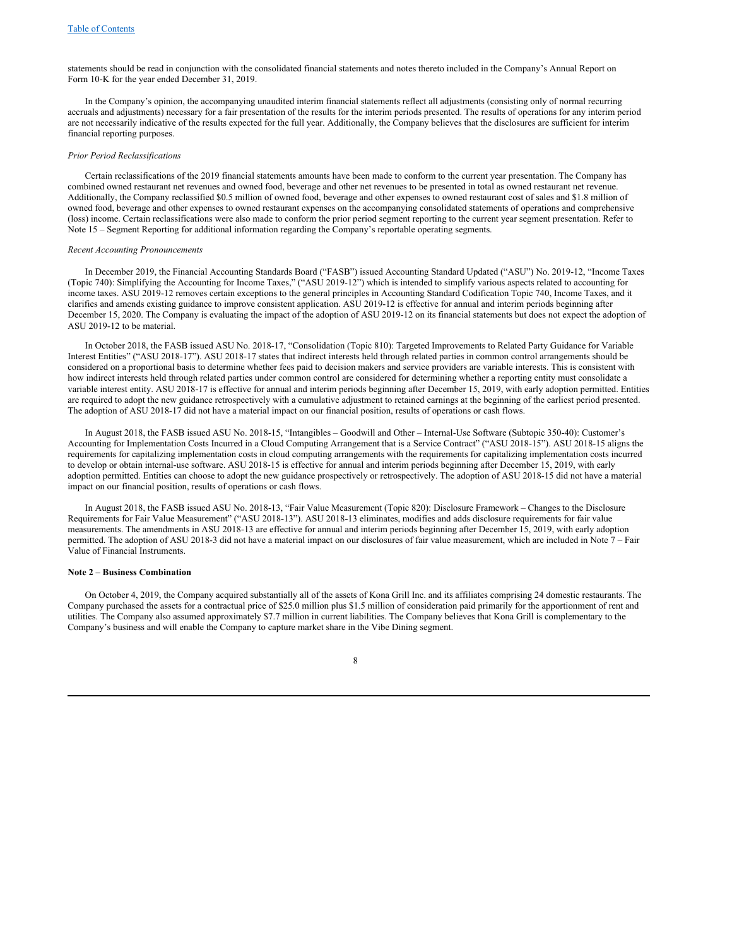statements should be read in conjunction with the consolidated financial statements and notes thereto included in the Company's Annual Report on Form 10‑K for the year ended December 31, 2019.

In the Company's opinion, the accompanying unaudited interim financial statements reflect all adjustments (consisting only of normal recurring accruals and adjustments) necessary for a fair presentation of the results for the interim periods presented. The results of operations for any interim period are not necessarily indicative of the results expected for the full year. Additionally, the Company believes that the disclosures are sufficient for interim financial reporting purposes.

### *Prior Period Reclassifications*

Certain reclassifications of the 2019 financial statements amounts have been made to conform to the current year presentation. The Company has combined owned restaurant net revenues and owned food, beverage and other net revenues to be presented in total as owned restaurant net revenue. Additionally, the Company reclassified \$0.5 million of owned food, beverage and other expenses to owned restaurant cost of sales and \$1.8 million of owned food, beverage and other expenses to owned restaurant expenses on the accompanying consolidated statements of operations and comprehensive (loss) income. Certain reclassifications were also made to conform the prior period segment reporting to the current year segment presentation. Refer to Note 15 – Segment Reporting for additional information regarding the Company's reportable operating segments.

## *Recent Accounting Pronouncements*

In December 2019, the Financial Accounting Standards Board ("FASB") issued Accounting Standard Updated ("ASU") No. 2019-12, "Income Taxes (Topic 740): Simplifying the Accounting for Income Taxes," ("ASU 2019-12") which is intended to simplify various aspects related to accounting for income taxes. ASU 2019-12 removes certain exceptions to the general principles in Accounting Standard Codification Topic 740, Income Taxes, and it clarifies and amends existing guidance to improve consistent application. ASU 2019-12 is effective for annual and interim periods beginning after December 15, 2020. The Company is evaluating the impact of the adoption of ASU 2019-12 on its financial statements but does not expect the adoption of ASU 2019-12 to be material.

In October 2018, the FASB issued ASU No. 2018‑17, "Consolidation (Topic 810): Targeted Improvements to Related Party Guidance for Variable Interest Entities" ("ASU 2018‑17"). ASU 2018‑17 states that indirect interests held through related parties in common control arrangements should be considered on a proportional basis to determine whether fees paid to decision makers and service providers are variable interests. This is consistent with how indirect interests held through related parties under common control are considered for determining whether a reporting entity must consolidate a variable interest entity. ASU 2018‑17 is effective for annual and interim periods beginning after December 15, 2019, with early adoption permitted. Entities are required to adopt the new guidance retrospectively with a cumulative adjustment to retained earnings at the beginning of the earliest period presented. The adoption of ASU 2018-17 did not have a material impact on our financial position, results of operations or cash flows.

In August 2018, the FASB issued ASU No. 2018‑15, "Intangibles – Goodwill and Other – Internal-Use Software (Subtopic 350‑40): Customer's Accounting for Implementation Costs Incurred in a Cloud Computing Arrangement that is a Service Contract" ("ASU 2018‑15"). ASU 2018‑15 aligns the requirements for capitalizing implementation costs in cloud computing arrangements with the requirements for capitalizing implementation costs incurred to develop or obtain internal-use software. ASU 2018‑15 is effective for annual and interim periods beginning after December 15, 2019, with early adoption permitted. Entities can choose to adopt the new guidance prospectively or retrospectively. The adoption of ASU 2018-15 did not have a material impact on our financial position, results of operations or cash flows.

In August 2018, the FASB issued ASU No. 2018‑13, "Fair Value Measurement (Topic 820): Disclosure Framework – Changes to the Disclosure Requirements for Fair Value Measurement" ("ASU 2018‑13"). ASU 2018‑13 eliminates, modifies and adds disclosure requirements for fair value measurements. The amendments in ASU 2018‑13 are effective for annual and interim periods beginning after December 15, 2019, with early adoption permitted. The adoption of ASU 2018-3 did not have a material impact on our disclosures of fair value measurement, which are included in Note 7 – Fair Value of Financial Instruments.

### **Note 2 – Business Combination**

On October 4, 2019, the Company acquired substantially all of the assets of Kona Grill Inc. and its affiliates comprising 24 domestic restaurants. The Company purchased the assets for a contractual price of \$25.0 million plus \$1.5 million of consideration paid primarily for the apportionment of rent and utilities. The Company also assumed approximately \$7.7 million in current liabilities. The Company believes that Kona Grill is complementary to the Company's business and will enable the Company to capture market share in the Vibe Dining segment.

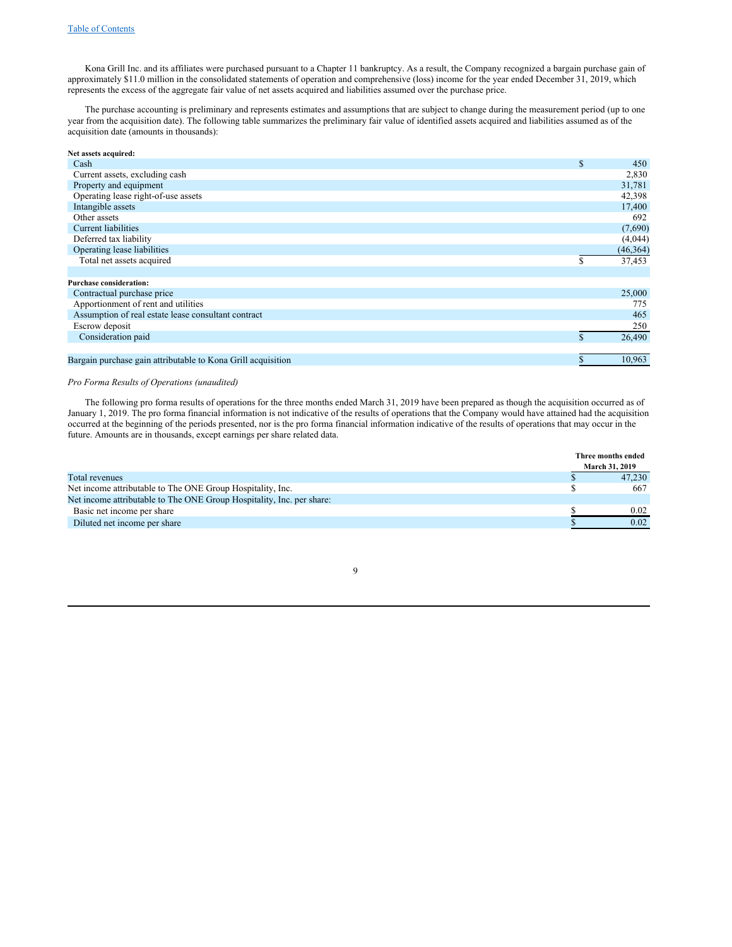Kona Grill Inc. and its affiliates were purchased pursuant to a Chapter 11 bankruptcy. As a result, the Company recognized a bargain purchase gain of approximately \$11.0 million in the consolidated statements of operation and comprehensive (loss) income for the year ended December 31, 2019, which represents the excess of the aggregate fair value of net assets acquired and liabilities assumed over the purchase price.

The purchase accounting is preliminary and represents estimates and assumptions that are subject to change during the measurement period (up to one year from the acquisition date). The following table summarizes the preliminary fair value of identified assets acquired and liabilities assumed as of the acquisition date (amounts in thousands):

| Net assets acquired:                                         |    |           |
|--------------------------------------------------------------|----|-----------|
| Cash                                                         | S  | 450       |
| Current assets, excluding cash                               |    | 2,830     |
| Property and equipment                                       |    | 31,781    |
| Operating lease right-of-use assets                          |    | 42,398    |
| Intangible assets                                            |    | 17,400    |
| Other assets                                                 |    | 692       |
| Current liabilities                                          |    | (7,690)   |
| Deferred tax liability                                       |    | (4,044)   |
| Operating lease liabilities                                  |    | (46, 364) |
| Total net assets acquired                                    | \$ | 37,453    |
|                                                              |    |           |
| <b>Purchase consideration:</b>                               |    |           |
| Contractual purchase price                                   |    | 25,000    |
| Apportionment of rent and utilities                          |    | 775       |
| Assumption of real estate lease consultant contract          |    | 465       |
| Escrow deposit                                               |    | 250       |
| Consideration paid                                           | S  | 26,490    |
|                                                              |    |           |
| Bargain purchase gain attributable to Kona Grill acquisition | \$ | 10,963    |

### *Pro Forma Results of Operations (unaudited)*

The following pro forma results of operations for the three months ended March 31, 2019 have been prepared as though the acquisition occurred as of January 1, 2019. The pro forma financial information is not indicative of the results of operations that the Company would have attained had the acquisition occurred at the beginning of the periods presented, nor is the pro forma financial information indicative of the results of operations that may occur in the future. Amounts are in thousands, except earnings per share related data.

|                                                                       | Three months ended    |
|-----------------------------------------------------------------------|-----------------------|
|                                                                       | <b>March 31, 2019</b> |
| Total revenues                                                        | 47.230                |
| Net income attributable to The ONE Group Hospitality, Inc.            | 667                   |
| Net income attributable to The ONE Group Hospitality, Inc. per share: |                       |
| Basic net income per share                                            | 0.02                  |
| Diluted net income per share                                          | 0.02                  |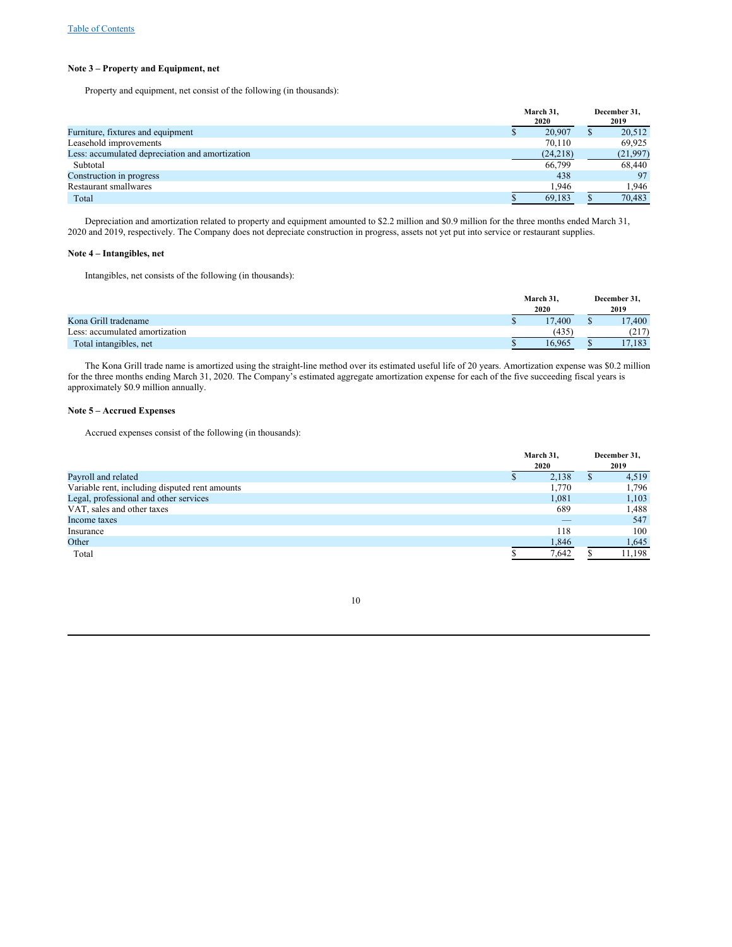## **Note 3 – Property and Equipment, net**

Property and equipment, net consist of the following (in thousands):

|                                                 | March 31,<br>2020 | December 31,<br>2019 |
|-------------------------------------------------|-------------------|----------------------|
| Furniture, fixtures and equipment               | 20,907            | 20,512               |
| Leasehold improvements                          | 70.110            | 69.925               |
| Less: accumulated depreciation and amortization | (24,218)          | (21,997)             |
| Subtotal                                        | 66,799            | 68,440               |
| Construction in progress                        | 438               | 97                   |
| Restaurant smallwares                           | 1.946             | 1.946                |
| Total                                           | 69,183            | 70,483               |

Depreciation and amortization related to property and equipment amounted to \$2.2 million and \$0.9 million for the three months ended March 31, 2020 and 2019, respectively. The Company does not depreciate construction in progress, assets not yet put into service or restaurant supplies.

## **Note 4 – Intangibles, net**

Intangibles, net consists of the following (in thousands):

|                                | March 31. | December 31. |
|--------------------------------|-----------|--------------|
|                                | 2020      | 2019         |
| Kona Grill tradename           | 17.400    | 17,400       |
| Less: accumulated amortization | (435)     | (217)        |
| Total intangibles, net         | 16.965    | 17.183       |

The Kona Grill trade name is amortized using the straight-line method over its estimated useful life of 20 years. Amortization expense was \$0.2 million for the three months ending March 31, 2020. The Company's estimated aggregate amortization expense for each of the five succeeding fiscal years is approximately \$0.9 million annually.

## **Note 5 – Accrued Expenses**

Accrued expenses consist of the following (in thousands):

| March 31, |                          |   | December 31, |
|-----------|--------------------------|---|--------------|
|           | 2020                     |   | 2019         |
|           | 2,138                    | Φ | 4,519        |
|           | 1,770                    |   | 1,796        |
|           | 1.081                    |   | 1,103        |
|           | 689                      |   | 1,488        |
|           | $\overline{\phantom{a}}$ |   | 547          |
|           | 118                      |   | 100          |
|           | 1,846                    |   | 1,645        |
|           | 7,642                    |   | 11,198       |
|           |                          |   |              |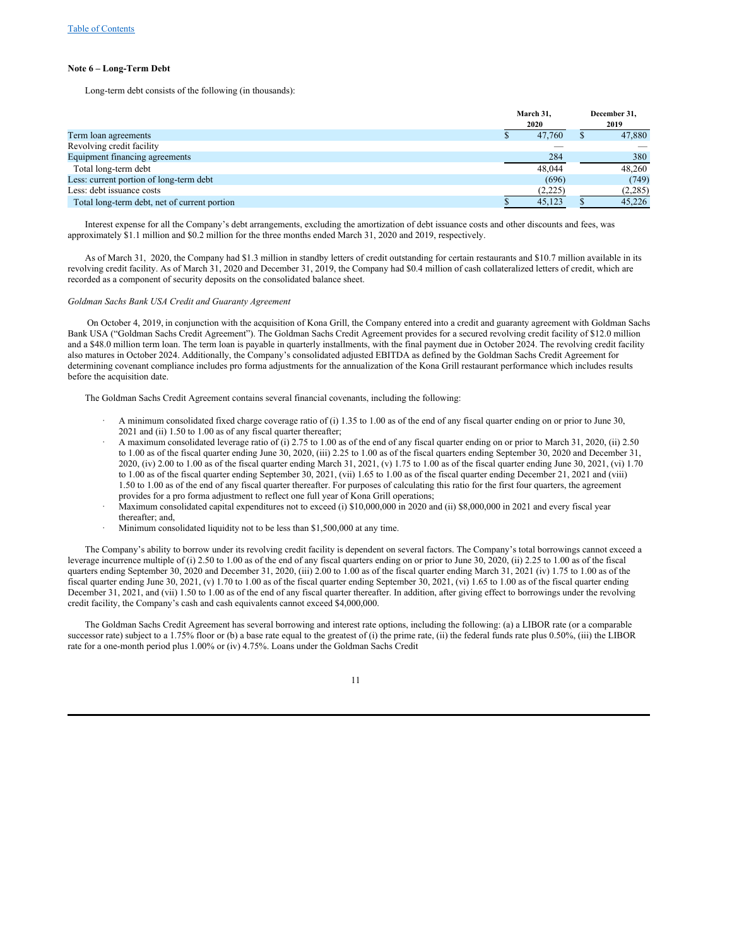#### **Note 6 – Long-Term Debt**

Long-term debt consists of the following (in thousands):

|                                              | March 31. | December 31, |
|----------------------------------------------|-----------|--------------|
|                                              | 2020      | 2019         |
| Term loan agreements                         | 47,760    | 47,880       |
| Revolving credit facility                    |           |              |
| Equipment financing agreements               | 284       | 380          |
| Total long-term debt                         | 48,044    | 48,260       |
| Less: current portion of long-term debt      | (696)     | (749)        |
| Less: debt issuance costs                    | (2,225)   | (2,285)      |
| Total long-term debt, net of current portion | 45,123    | 45,226       |

Interest expense for all the Company's debt arrangements, excluding the amortization of debt issuance costs and other discounts and fees, was approximately \$1.1 million and \$0.2 million for the three months ended March 31, 2020 and 2019, respectively.

As of March 31, 2020, the Company had \$1.3 million in standby letters of credit outstanding for certain restaurants and \$10.7 million available in its revolving credit facility. As of March 31, 2020 and December 31, 2019, the Company had \$0.4 million of cash collateralized letters of credit, which are recorded as a component of security deposits on the consolidated balance sheet.

#### *Goldman Sachs Bank USA Credit and Guaranty Agreement*

On October 4, 2019, in conjunction with the acquisition of Kona Grill, the Company entered into a credit and guaranty agreement with Goldman Sachs Bank USA ("Goldman Sachs Credit Agreement"). The Goldman Sachs Credit Agreement provides for a secured revolving credit facility of \$12.0 million and a \$48.0 million term loan. The term loan is payable in quarterly installments, with the final payment due in October 2024. The revolving credit facility also matures in October 2024. Additionally, the Company's consolidated adjusted EBITDA as defined by the Goldman Sachs Credit Agreement for determining covenant compliance includes pro forma adjustments for the annualization of the Kona Grill restaurant performance which includes results before the acquisition date.

The Goldman Sachs Credit Agreement contains several financial covenants, including the following:

- · A minimum consolidated fixed charge coverage ratio of (i) 1.35 to 1.00 as of the end of any fiscal quarter ending on or prior to June 30, 2021 and (ii) 1.50 to 1.00 as of any fiscal quarter thereafter;
- · A maximum consolidated leverage ratio of (i) 2.75 to 1.00 as of the end of any fiscal quarter ending on or prior to March 31, 2020, (ii) 2.50 to 1.00 as of the fiscal quarter ending June 30, 2020, (iii) 2.25 to 1.00 as of the fiscal quarters ending September 30, 2020 and December 31, 2020, (iv) 2.00 to 1.00 as of the fiscal quarter ending March 31, 2021, (v) 1.75 to 1.00 as of the fiscal quarter ending June 30, 2021, (vi) 1.70 to 1.00 as of the fiscal quarter ending September 30, 2021, (vii) 1.65 to 1.00 as of the fiscal quarter ending December 21, 2021 and (viii) 1.50 to 1.00 as of the end of any fiscal quarter thereafter. For purposes of calculating this ratio for the first four quarters, the agreement provides for a pro forma adjustment to reflect one full year of Kona Grill operations;
- Maximum consolidated capital expenditures not to exceed (i) \$10,000,000 in 2020 and (ii) \$8,000,000 in 2021 and every fiscal year thereafter; and,
- Minimum consolidated liquidity not to be less than \$1,500,000 at any time.

The Company's ability to borrow under its revolving credit facility is dependent on several factors. The Company's total borrowings cannot exceed a leverage incurrence multiple of (i) 2.50 to 1.00 as of the end of any fiscal quarters ending on or prior to June 30, 2020, (ii) 2.25 to 1.00 as of the fiscal quarters ending September 30, 2020 and December 31, 2020, (iii) 2.00 to 1.00 as of the fiscal quarter ending March 31, 2021 (iv) 1.75 to 1.00 as of the fiscal quarter ending June 30, 2021, (v) 1.70 to 1.00 as of the fiscal quarter ending September 30, 2021, (vi) 1.65 to 1.00 as of the fiscal quarter ending December 31, 2021, and (vii) 1.50 to 1.00 as of the end of any fiscal quarter thereafter. In addition, after giving effect to borrowings under the revolving credit facility, the Company's cash and cash equivalents cannot exceed \$4,000,000.

The Goldman Sachs Credit Agreement has several borrowing and interest rate options, including the following: (a) a LIBOR rate (or a comparable successor rate) subject to a 1.75% floor or (b) a base rate equal to the greatest of (i) the prime rate, (ii) the federal funds rate plus 0.50%, (iii) the LIBOR rate for a one-month period plus 1.00% or (iv) 4.75%. Loans under the Goldman Sachs Credit

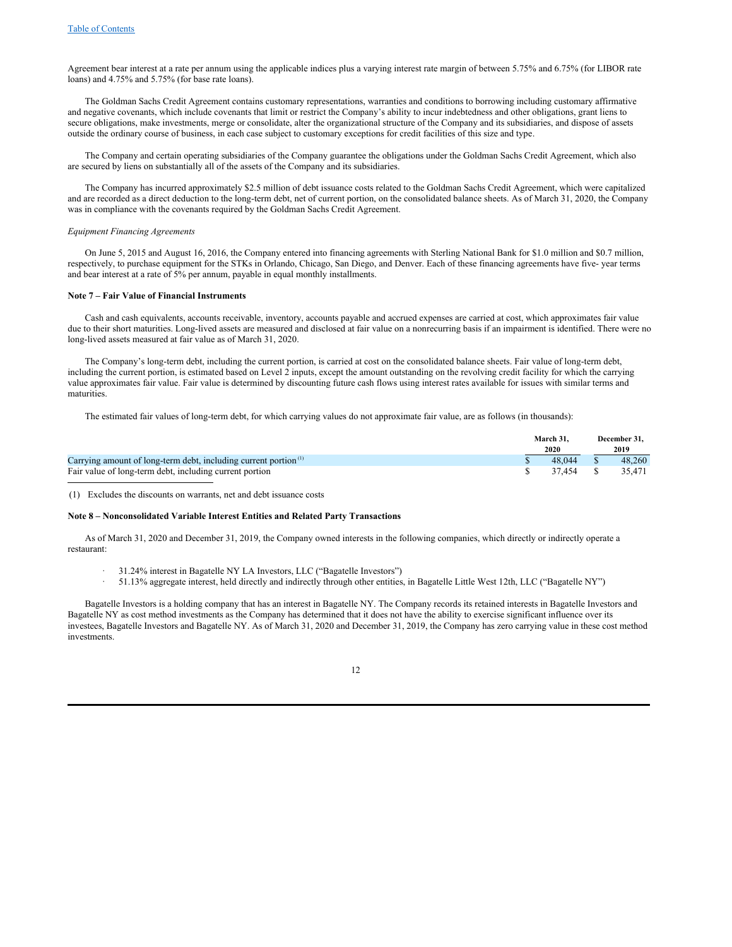Agreement bear interest at a rate per annum using the applicable indices plus a varying interest rate margin of between 5.75% and 6.75% (for LIBOR rate loans) and 4.75% and 5.75% (for base rate loans).

The Goldman Sachs Credit Agreement contains customary representations, warranties and conditions to borrowing including customary affirmative and negative covenants, which include covenants that limit or restrict the Company's ability to incur indebtedness and other obligations, grant liens to secure obligations, make investments, merge or consolidate, alter the organizational structure of the Company and its subsidiaries, and dispose of assets outside the ordinary course of business, in each case subject to customary exceptions for credit facilities of this size and type.

The Company and certain operating subsidiaries of the Company guarantee the obligations under the Goldman Sachs Credit Agreement, which also are secured by liens on substantially all of the assets of the Company and its subsidiaries.

The Company has incurred approximately \$2.5 million of debt issuance costs related to the Goldman Sachs Credit Agreement, which were capitalized and are recorded as a direct deduction to the long-term debt, net of current portion, on the consolidated balance sheets. As of March 31, 2020, the Company was in compliance with the covenants required by the Goldman Sachs Credit Agreement.

## *Equipment Financing Agreements*

On June 5, 2015 and August 16, 2016, the Company entered into financing agreements with Sterling National Bank for \$1.0 million and \$0.7 million, respectively, to purchase equipment for the STKs in Orlando, Chicago, San Diego, and Denver. Each of these financing agreements have five- year terms and bear interest at a rate of 5% per annum, payable in equal monthly installments.

#### **Note 7 – Fair Value of Financial Instruments**

Cash and cash equivalents, accounts receivable, inventory, accounts payable and accrued expenses are carried at cost, which approximates fair value due to their short maturities. Long-lived assets are measured and disclosed at fair value on a nonrecurring basis if an impairment is identified. There were no long-lived assets measured at fair value as of March 31, 2020.

The Company's long-term debt, including the current portion, is carried at cost on the consolidated balance sheets. Fair value of long-term debt, including the current portion, is estimated based on Level 2 inputs, except the amount outstanding on the revolving credit facility for which the carrying value approximates fair value. Fair value is determined by discounting future cash flows using interest rates available for issues with similar terms and maturities.

The estimated fair values of long-term debt, for which carrying values do not approximate fair value, are as follows (in thousands):

|                                                                             | March 31.               |     | December 31. |
|-----------------------------------------------------------------------------|-------------------------|-----|--------------|
|                                                                             | <b>2020</b>             |     | 2019         |
| Carrying amount of long-term debt, including current portion <sup>(1)</sup> | 48.044                  | - S | 48.260       |
| Fair value of long-term debt, including current portion                     | $\frac{1}{2}$ 37.454 \$ |     | 35.471       |

(1) Excludes the discounts on warrants, net and debt issuance costs

#### **Note 8 – Nonconsolidated Variable Interest Entities and Related Party Transactions**

As of March 31, 2020 and December 31, 2019, the Company owned interests in the following companies, which directly or indirectly operate a restaurant:

- · 31.24% interest in Bagatelle NY LA Investors, LLC ("Bagatelle Investors")
- · 51.13% aggregate interest, held directly and indirectly through other entities, in Bagatelle Little West 12th, LLC ("Bagatelle NY")

Bagatelle Investors is a holding company that has an interest in Bagatelle NY. The Company records its retained interests in Bagatelle Investors and Bagatelle NY as cost method investments as the Company has determined that it does not have the ability to exercise significant influence over its investees, Bagatelle Investors and Bagatelle NY. As of March 31, 2020 and December 31, 2019, the Company has zero carrying value in these cost method investments.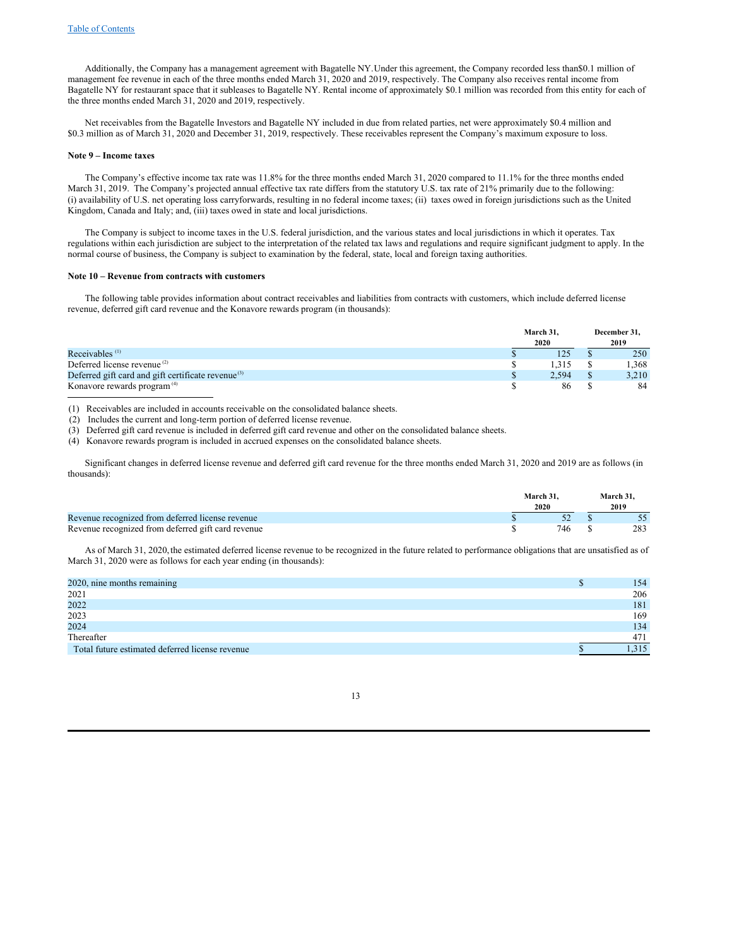Additionally, the Company has a management agreement with Bagatelle NY.Under this agreement, the Company recorded less than\$0.1 million of management fee revenue in each of the three months ended March 31, 2020 and 2019, respectively. The Company also receives rental income from Bagatelle NY for restaurant space that it subleases to Bagatelle NY. Rental income of approximately \$0.1 million was recorded from this entity for each of the three months ended March 31, 2020 and 2019, respectively.

Net receivables from the Bagatelle Investors and Bagatelle NY included in due from related parties, net were approximately \$0.4 million and \$0.3 million as of March 31, 2020 and December 31, 2019, respectively. These receivables represent the Company's maximum exposure to loss.

## **Note 9 – Income taxes**

The Company's effective income tax rate was 11.8% for the three months ended March 31, 2020 compared to 11.1% for the three months ended March 31, 2019. The Company's projected annual effective tax rate differs from the statutory U.S. tax rate of 21% primarily due to the following: (i) availability of U.S. net operating loss carryforwards, resulting in no federal income taxes; (ii) taxes owed in foreign jurisdictions such as the United Kingdom, Canada and Italy; and, (iii) taxes owed in state and local jurisdictions.

The Company is subject to income taxes in the U.S. federal jurisdiction, and the various states and local jurisdictions in which it operates. Tax regulations within each jurisdiction are subject to the interpretation of the related tax laws and regulations and require significant judgment to apply. In the normal course of business, the Company is subject to examination by the federal, state, local and foreign taxing authorities.

#### **Note 10 – Revenue from contracts with customers**

The following table provides information about contract receivables and liabilities from contracts with customers, which include deferred license revenue, deferred gift card revenue and the Konavore rewards program (in thousands):

|                                                          | March 31, | December 31, |  |
|----------------------------------------------------------|-----------|--------------|--|
|                                                          | 2020      | 2019         |  |
| Receivables $(1)$                                        | 125       | 250          |  |
| Deferred license revenue $(2)$                           | .315      | .368         |  |
| Deferred gift card and gift certificate revenue $^{(3)}$ | 2.594     | 3,210        |  |
| Konavore rewards program <sup>(4)</sup>                  | 86        | 84           |  |

(1) Receivables are included in accounts receivable on the consolidated balance sheets.

(2) Includes the current and long-term portion of deferred license revenue.

(3) Deferred gift card revenue is included in deferred gift card revenue and other on the consolidated balance sheets.

(4) Konavore rewards program is included in accrued expenses on the consolidated balance sheets.

Significant changes in deferred license revenue and deferred gift card revenue for the three months ended March 31, 2020 and 2019 are as follows (in thousands):

|                                                    | March 31. |  | March 31. |
|----------------------------------------------------|-----------|--|-----------|
|                                                    | 2020      |  |           |
| Revenue recognized from deferred license revenue   |           |  |           |
| Revenue recognized from deferred gift card revenue |           |  | 283       |

As of March 31, 2020, the estimated deferred license revenue to be recognized in the future related to performance obligations that are unsatisfied as of March 31, 2020 were as follows for each year ending (in thousands):

| 2020, nine months remaining                     | Φ | 154 |
|-------------------------------------------------|---|-----|
| 2021                                            |   | 206 |
| 2022                                            |   | 181 |
| 2023                                            |   | 169 |
| 2024                                            |   | 134 |
| Thereafter                                      |   | 471 |
| Total future estimated deferred license revenue |   |     |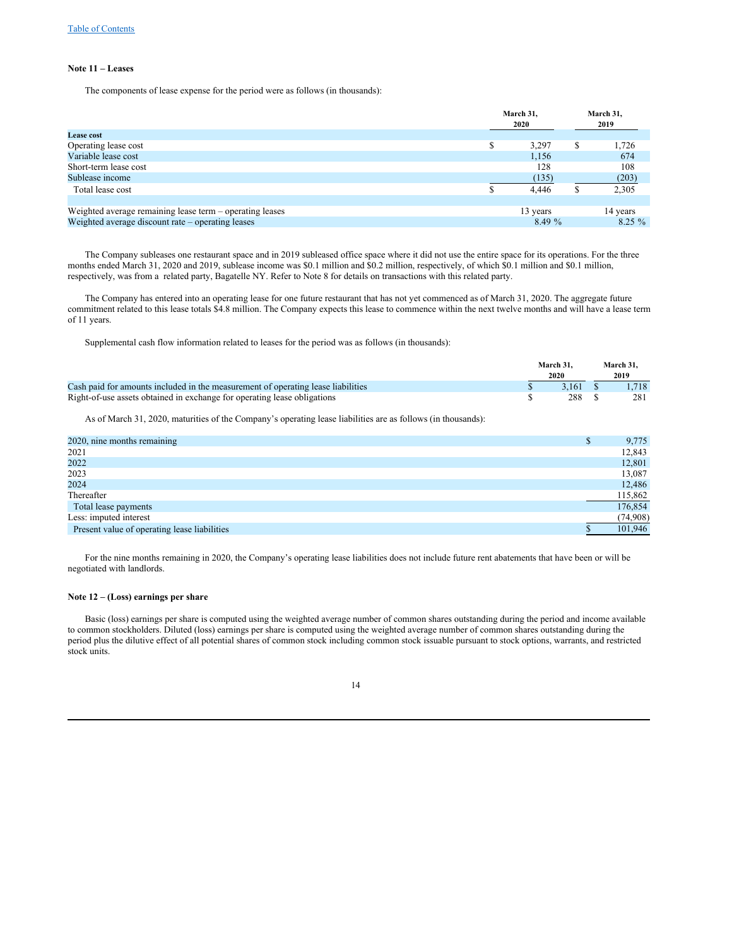#### **Note 11 – Leases**

The components of lease expense for the period were as follows (in thousands):

|                                                          |   | March 31,<br>2020 |   | March 31,<br>2019 |
|----------------------------------------------------------|---|-------------------|---|-------------------|
| <b>Lease cost</b>                                        |   |                   |   |                   |
| Operating lease cost                                     | S | 3,297             | S | 1,726             |
| Variable lease cost                                      |   | 1.156             |   | 674               |
| Short-term lease cost                                    |   | 128               |   | 108               |
| Sublease income                                          |   | (135)             |   | (203)             |
| Total lease cost                                         |   | 4.446             |   | 2,305             |
|                                                          |   |                   |   |                   |
| Weighted average remaining lease term – operating leases |   | 13 years          |   | 14 years          |
| Weighted average discount rate – operating leases        |   | 8.49%             |   | $8.25 \%$         |

The Company subleases one restaurant space and in 2019 subleased office space where it did not use the entire space for its operations. For the three months ended March 31, 2020 and 2019, sublease income was \$0.1 million and \$0.2 million, respectively, of which \$0.1 million and \$0.1 million, respectively, was from a related party, Bagatelle NY. Refer to Note 8 for details on transactions with this related party.

The Company has entered into an operating lease for one future restaurant that has not yet commenced as of March 31, 2020. The aggregate future commitment related to this lease totals \$4.8 million. The Company expects this lease to commence within the next twelve months and will have a lease term of 11 years.

Supplemental cash flow information related to leases for the period was as follows (in thousands):

|                                                                                  | March 31. |          | March 31. |
|----------------------------------------------------------------------------------|-----------|----------|-----------|
|                                                                                  | 2020      |          | 2019      |
| Cash paid for amounts included in the measurement of operating lease liabilities |           | 3.161 \$ | 1.718     |
| Right-of-use assets obtained in exchange for operating lease obligations         |           | 288 S    | 281       |

As of March 31, 2020, maturities of the Company's operating lease liabilities are as follows (in thousands):

| 2020, nine months remaining                  | Φ | 9,775    |
|----------------------------------------------|---|----------|
| 2021                                         |   | 12,843   |
| 2022                                         |   | 12,801   |
| 2023                                         |   | 13,087   |
| 2024                                         |   | 12,486   |
| Thereafter                                   |   | 115,862  |
| Total lease payments                         |   | 176,854  |
| Less: imputed interest                       |   | (74,908) |
| Present value of operating lease liabilities |   | 101,946  |

For the nine months remaining in 2020, the Company's operating lease liabilities does not include future rent abatements that have been or will be negotiated with landlords.

## **Note 12 – (Loss) earnings per share**

Basic (loss) earnings per share is computed using the weighted average number of common shares outstanding during the period and income available to common stockholders. Diluted (loss) earnings per share is computed using the weighted average number of common shares outstanding during the period plus the dilutive effect of all potential shares of common stock including common stock issuable pursuant to stock options, warrants, and restricted stock units.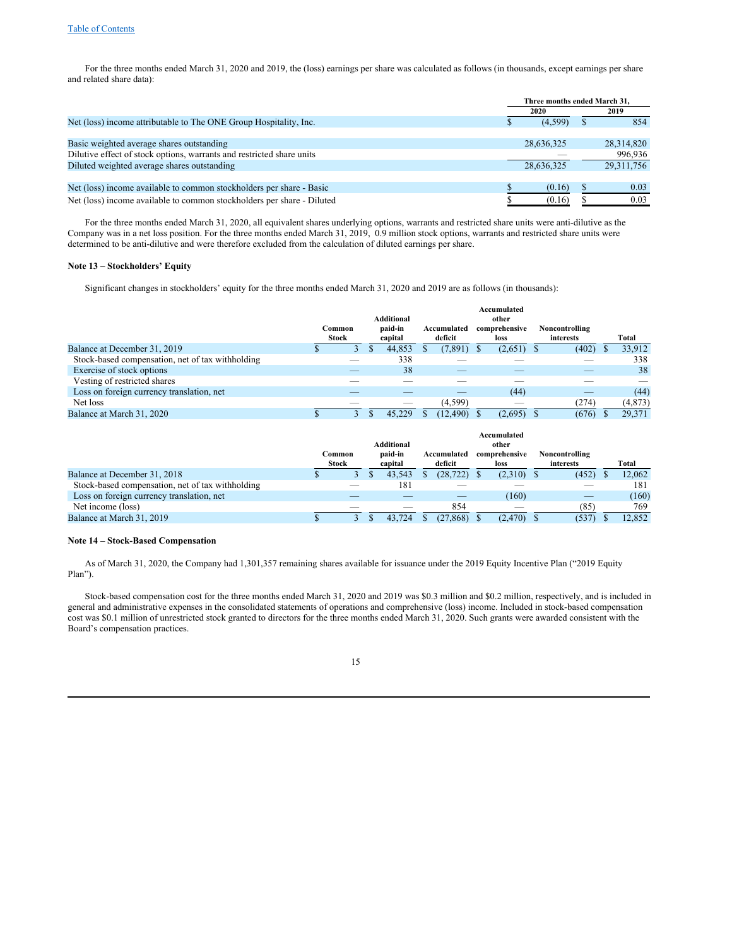For the three months ended March 31, 2020 and 2019, the (loss) earnings per share was calculated as follows (in thousands, except earnings per share and related share data):

|                                                                        |            | Three months ended March 31. |              |  |  |  |  |  |  |
|------------------------------------------------------------------------|------------|------------------------------|--------------|--|--|--|--|--|--|
|                                                                        | 2020       |                              | 2019         |  |  |  |  |  |  |
| Net (loss) income attributable to The ONE Group Hospitality, Inc.      | (4,599)    |                              | 854          |  |  |  |  |  |  |
|                                                                        |            |                              |              |  |  |  |  |  |  |
| Basic weighted average shares outstanding                              | 28.636.325 |                              | 28,314,820   |  |  |  |  |  |  |
| Dilutive effect of stock options, warrants and restricted share units  |            |                              | 996,936      |  |  |  |  |  |  |
| Diluted weighted average shares outstanding                            | 28,636,325 |                              | 29, 311, 756 |  |  |  |  |  |  |
|                                                                        |            |                              |              |  |  |  |  |  |  |
| Net (loss) income available to common stockholders per share - Basic   | (0.16)     |                              | 0.03         |  |  |  |  |  |  |
| Net (loss) income available to common stockholders per share - Diluted | (0.16)     |                              | 0.03         |  |  |  |  |  |  |

For the three months ended March 31, 2020, all equivalent shares underlying options, warrants and restricted share units were anti-dilutive as the Company was in a net loss position. For the three months ended March 31, 2019, 0.9 million stock options, warrants and restricted share units were determined to be anti-dilutive and were therefore excluded from the calculation of diluted earnings per share.

### **Note 13 – Stockholders' Equity**

Significant changes in stockholders' equity for the three months ended March 31, 2020 and 2019 are as follows (in thousands):

|                                                  | Common<br><b>Stock</b> | <b>Additional</b><br>paid-in<br>capital | Accumulated<br>deficit | Accumulated<br>other<br>comprehensive<br>loss | Noncontrolling<br>interests | Total    |
|--------------------------------------------------|------------------------|-----------------------------------------|------------------------|-----------------------------------------------|-----------------------------|----------|
| Balance at December 31, 2019                     | 3                      | 44,853                                  | (7,891)                | $(2,651)$ \$                                  | (402)                       | 33,912   |
| Stock-based compensation, net of tax withholding |                        | 338                                     |                        |                                               |                             | 338      |
| Exercise of stock options                        |                        | 38                                      | _                      |                                               |                             | 38       |
| Vesting of restricted shares                     |                        |                                         |                        |                                               |                             |          |
| Loss on foreign currency translation, net        |                        |                                         | _                      | (44)                                          | _                           | (44)     |
| Net loss                                         |                        |                                         | (4, 599)               | _                                             | (274)                       | (4, 873) |
| Balance at March 31, 2020                        | 3                      | 45.229                                  | (12, 490)              | (2,695)                                       | (676)                       | 29.371   |

|                                                  | <b>Stock</b> | Common | <b>Additional</b><br>paid-in<br>capital | Accumulated<br>deficit | Accumulated<br>other<br>comprehensive<br>loss | Noncontrolling<br>interests | Total  |
|--------------------------------------------------|--------------|--------|-----------------------------------------|------------------------|-----------------------------------------------|-----------------------------|--------|
| Balance at December 31, 2018                     |              |        | 43.543                                  | (28, 722)              | $(2,310)$ \$                                  | (452)                       | 12.062 |
| Stock-based compensation, net of tax withholding |              |        | 181                                     |                        |                                               |                             | 181    |
| Loss on foreign currency translation, net        |              |        |                                         |                        | (160)                                         | _                           | (160)  |
| Net income (loss)                                |              |        |                                         | 854                    | __                                            | (85)                        | 769    |
| Balance at March 31, 2019                        |              |        | 43.724                                  | (27, 868)              | (2, 470)                                      | (537)                       | 12.852 |

#### **Note 14 – Stock-Based Compensation**

As of March 31, 2020, the Company had 1,301,357 remaining shares available for issuance under the 2019 Equity Incentive Plan ("2019 Equity Plan").

Stock-based compensation cost for the three months ended March 31, 2020 and 2019 was \$0.3 million and \$0.2 million, respectively, and is included in general and administrative expenses in the consolidated statements of operations and comprehensive (loss) income. Included in stock-based compensation cost was \$0.1 million of unrestricted stock granted to directors for the three months ended March 31, 2020. Such grants were awarded consistent with the Board's compensation practices.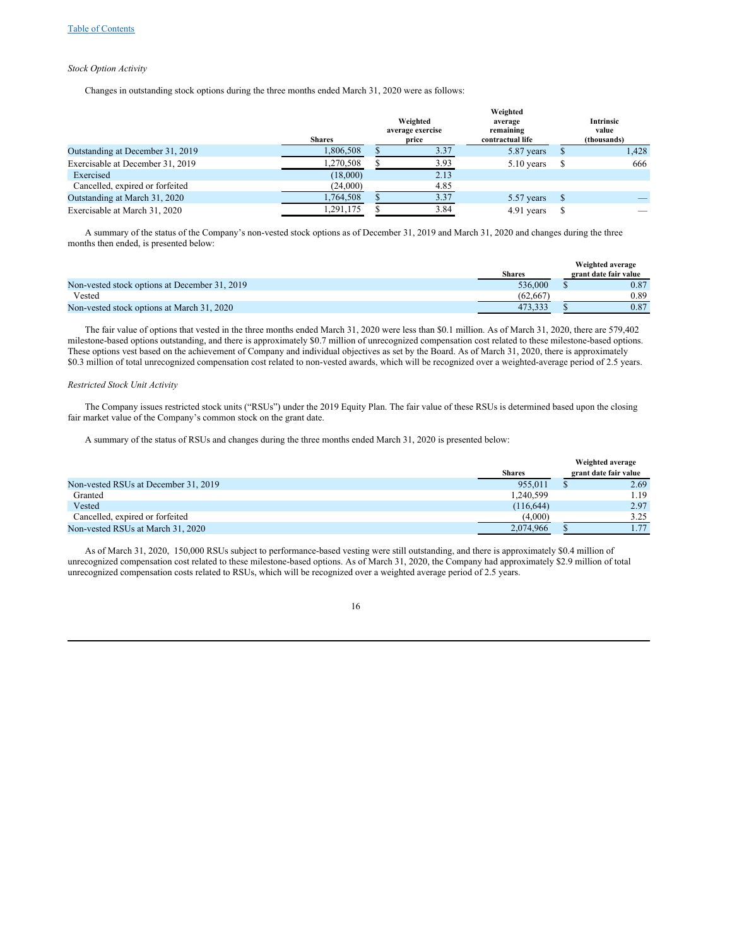## *Stock Option Activity*

Changes in outstanding stock options during the three months ended March 31, 2020 were as follows:

|                                  |               | Weighted |                  |                  |  |             |
|----------------------------------|---------------|----------|------------------|------------------|--|-------------|
|                                  |               |          | Weighted         | average          |  | Intrinsic   |
|                                  |               |          | average exercise | remaining        |  | value       |
|                                  | <b>Shares</b> |          | price            | contractual life |  | (thousands) |
| Outstanding at December 31, 2019 | 1,806,508     |          | 3.37             | 5.87 years       |  | 1,428       |
| Exercisable at December 31, 2019 | 1,270,508     |          | 3.93             | $5.10$ years     |  | 666         |
| Exercised                        | (18,000)      |          | 2.13             |                  |  |             |
| Cancelled, expired or forfeited  | (24,000)      |          | 4.85             |                  |  |             |
| Outstanding at March 31, 2020    | 1,764,508     |          | 3.37             | 5.57 years       |  |             |
| Exercisable at March 31, 2020    | 1.291.175     |          | 3.84             | 4.91 years       |  |             |

A summary of the status of the Company's non-vested stock options as of December 31, 2019 and March 31, 2020 and changes during the three months then ended, is presented below:

|                                               |               | Weighted average      |
|-----------------------------------------------|---------------|-----------------------|
|                                               | <b>Shares</b> | grant date fair value |
| Non-vested stock options at December 31, 2019 | 536,000       | 0.87                  |
| Vested                                        | (62.667)      | 0.89                  |
| Non-vested stock options at March 31, 2020    | 473.333       | 0.87                  |

The fair value of options that vested in the three months ended March 31, 2020 were less than \$0.1 million. As of March 31, 2020, there are 579,402 milestone-based options outstanding, and there is approximately \$0.7 million of unrecognized compensation cost related to these milestone-based options. These options vest based on the achievement of Company and individual objectives as set by the Board. As of March 31, 2020, there is approximately \$0.3 million of total unrecognized compensation cost related to non-vested awards, which will be recognized over a weighted-average period of 2.5 years.

#### *Restricted Stock Unit Activity*

The Company issues restricted stock units ("RSUs") under the 2019 Equity Plan. The fair value of these RSUs is determined based upon the closing fair market value of the Company's common stock on the grant date.

A summary of the status of RSUs and changes during the three months ended March 31, 2020 is presented below:

|                                      |               | Weighted average      |
|--------------------------------------|---------------|-----------------------|
|                                      | <b>Shares</b> | grant date fair value |
| Non-vested RSUs at December 31, 2019 | 955.011       | 2.69                  |
| Granted                              | 1,240,599     | 1.19                  |
| Vested                               | (116, 644)    | 2.97                  |
| Cancelled, expired or forfeited      | (4,000)       | 3.25                  |
| Non-vested RSUs at March 31, 2020    | 2.074.966     | 1.77                  |

As of March 31, 2020, 150,000 RSUs subject to performance-based vesting were still outstanding, and there is approximately \$0.4 million of unrecognized compensation cost related to these milestone-based options. As of March 31, 2020, the Company had approximately \$2.9 million of total unrecognized compensation costs related to RSUs, which will be recognized over a weighted average period of 2.5 years.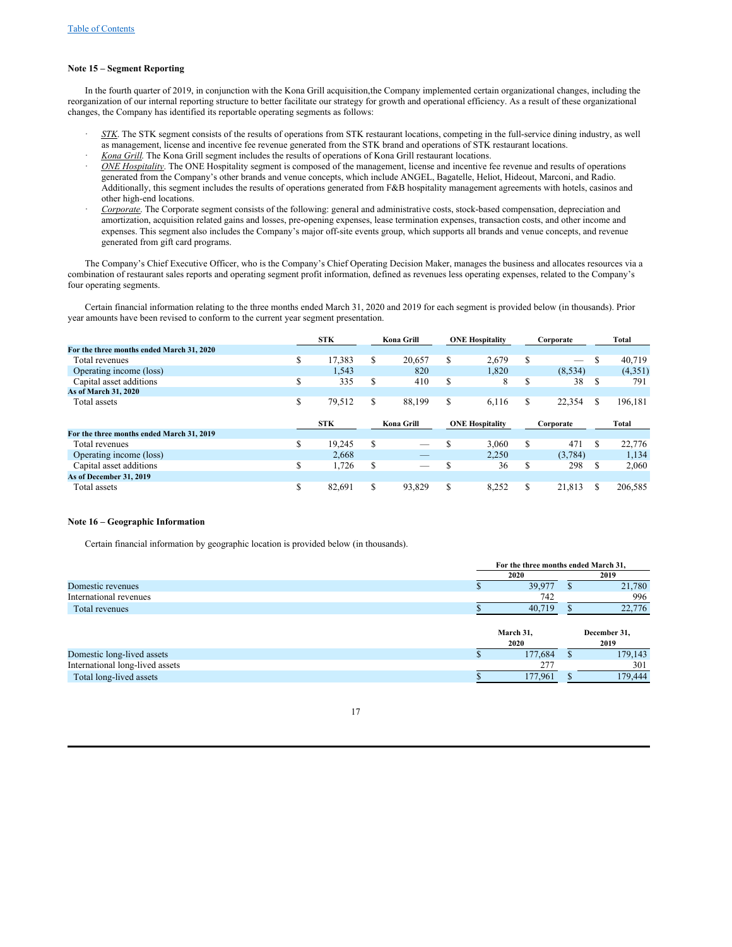### **Note 15 – Segment Reporting**

In the fourth quarter of 2019, in conjunction with the Kona Grill acquisition,the Company implemented certain organizational changes, including the reorganization of our internal reporting structure to better facilitate our strategy for growth and operational efficiency. As a result of these organizational changes, the Company has identified its reportable operating segments as follows:

- · *STK*. The STK segment consists of the results of operations from STK restaurant locations, competing in the full-service dining industry, as well as management, license and incentive fee revenue generated from the STK brand and operations of STK restaurant locations.
- · *Kona Grill*. The Kona Grill segment includes the results of operations of Kona Grill restaurant locations.
- · *ONE Hospitality*. The ONE Hospitality segment is composed of the management, license and incentive fee revenue and results of operations generated from the Company's other brands and venue concepts, which include ANGEL, Bagatelle, Heliot, Hideout, Marconi, and Radio. Additionally, this segment includes the results of operations generated from F&B hospitality management agreements with hotels, casinos and other high-end locations.
- · *Corporate*. The Corporate segment consists of the following: general and administrative costs, stock-based compensation, depreciation and amortization, acquisition related gains and losses, pre-opening expenses, lease termination expenses, transaction costs, and other income and expenses. This segment also includes the Company's major off-site events group, which supports all brands and venue concepts, and revenue generated from gift card programs.

The Company's Chief Executive Officer, who is the Company's Chief Operating Decision Maker, manages the business and allocates resources via a combination of restaurant sales reports and operating segment profit information, defined as revenues less operating expenses, related to the Company's four operating segments.

Certain financial information relating to the three months ended March 31, 2020 and 2019 for each segment is provided below (in thousands). Prior year amounts have been revised to conform to the current year segment presentation.

|                                           |    | <b>STK</b> |   | Kona Grill |   | <b>ONE Hospitality</b> |         | Corporate |    | Total   |
|-------------------------------------------|----|------------|---|------------|---|------------------------|---------|-----------|----|---------|
| For the three months ended March 31, 2020 |    |            |   |            |   |                        |         |           |    |         |
| Total revenues                            | \$ | 17,383     | S | 20.657     | S | 2,679                  | S       | -         | S  | 40,719  |
| Operating income (loss)                   |    | 1.543      |   | 820        |   | 1.820                  |         | (8, 534)  |    | (4,351) |
| Capital asset additions                   | S  | 335        | S | 410        | S | 8                      | ¢<br>.Ъ | 38        | S  | 791     |
| As of March 31, 2020                      |    |            |   |            |   |                        |         |           |    |         |
| Total assets                              | \$ | 79,512     | S | 88.199     | S | 6.116                  | S       | 22,354    | S. | 196,181 |
|                                           |    |            |   |            |   |                        |         |           |    |         |
|                                           |    |            |   |            |   |                        |         |           |    |         |
|                                           |    | <b>STK</b> |   | Kona Grill |   | <b>ONE Hospitality</b> |         | Corporate |    | Total   |
| For the three months ended March 31, 2019 |    |            |   |            |   |                        |         |           |    |         |
| Total revenues                            | \$ | 19.245     | S | -          |   | 3.060                  | S       | 471       | S  | 22,776  |
| Operating income (loss)                   |    | 2.668      |   |            |   | 2.250                  |         | (3.784)   |    | 1.134   |
| Capital asset additions                   | \$ | 1,726      | S | _          | Ф | 36                     | S       | 298       | S  | 2,060   |
| As of December 31, 2019                   |    |            |   |            |   |                        |         |           |    |         |

## **Note 16 – Geographic Information**

Certain financial information by geographic location is provided below (in thousands).

|                                 | For the three months ended March 31, |   |              |
|---------------------------------|--------------------------------------|---|--------------|
|                                 | 2020                                 |   | 2019         |
| Domestic revenues               | 39,977                               |   | 21,780       |
| International revenues          | 742                                  |   | 996          |
| Total revenues                  | 40.719                               |   | 22,776       |
|                                 |                                      |   |              |
|                                 | March 31,                            |   | December 31, |
|                                 | 2020                                 |   | 2019         |
| Domestic long-lived assets      | 177,684                              | S | 179,143      |
| International long-lived assets | 277                                  |   | 301          |
| Total long-lived assets         |                                      |   |              |
|                                 | 177,961                              |   | 179,444      |

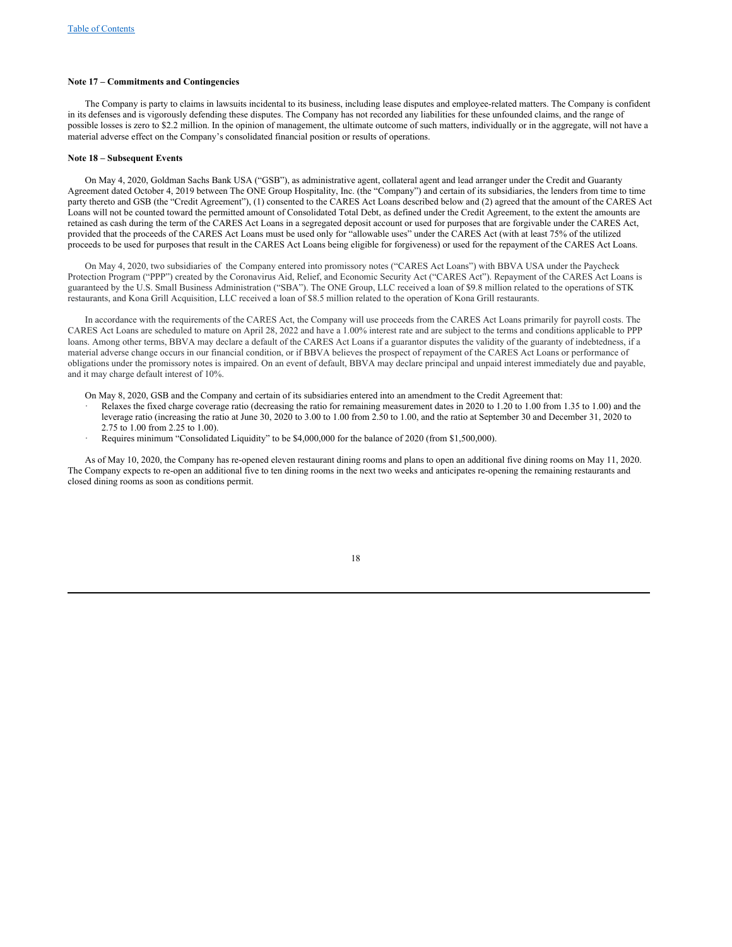#### **Note 17 – Commitments and Contingencies**

The Company is party to claims in lawsuits incidental to its business, including lease disputes and employee-related matters. The Company is confident in its defenses and is vigorously defending these disputes. The Company has not recorded any liabilities for these unfounded claims, and the range of possible losses is zero to \$2.2 million. In the opinion of management, the ultimate outcome of such matters, individually or in the aggregate, will not have a material adverse effect on the Company's consolidated financial position or results of operations.

### **Note 18 – Subsequent Events**

On May 4, 2020, Goldman Sachs Bank USA ("GSB"), as administrative agent, collateral agent and lead arranger under the Credit and Guaranty Agreement dated October 4, 2019 between The ONE Group Hospitality, Inc. (the "Company") and certain of its subsidiaries, the lenders from time to time party thereto and GSB (the "Credit Agreement"), (1) consented to the CARES Act Loans described below and (2) agreed that the amount of the CARES Act Loans will not be counted toward the permitted amount of Consolidated Total Debt, as defined under the Credit Agreement, to the extent the amounts are retained as cash during the term of the CARES Act Loans in a segregated deposit account or used for purposes that are forgivable under the CARES Act, provided that the proceeds of the CARES Act Loans must be used only for "allowable uses" under the CARES Act (with at least 75% of the utilized proceeds to be used for purposes that result in the CARES Act Loans being eligible for forgiveness) or used for the repayment of the CARES Act Loans.

On May 4, 2020, two subsidiaries of the Company entered into promissory notes ("CARES Act Loans") with BBVA USA under the Paycheck Protection Program ("PPP") created by the Coronavirus Aid, Relief, and Economic Security Act ("CARES Act"). Repayment of the CARES Act Loans is guaranteed by the U.S. Small Business Administration ("SBA"). The ONE Group, LLC received a loan of \$9.8 million related to the operations of STK restaurants, and Kona Grill Acquisition, LLC received a loan of \$8.5 million related to the operation of Kona Grill restaurants.

In accordance with the requirements of the CARES Act, the Company will use proceeds from the CARES Act Loans primarily for payroll costs. The CARES Act Loans are scheduled to mature on April 28, 2022 and have a 1.00% interest rate and are subject to the terms and conditions applicable to PPP loans. Among other terms, BBVA may declare a default of the CARES Act Loans if a guarantor disputes the validity of the guaranty of indebtedness, if a material adverse change occurs in our financial condition, or if BBVA believes the prospect of repayment of the CARES Act Loans or performance of obligations under the promissory notes is impaired. On an event of default, BBVA may declare principal and unpaid interest immediately due and payable, and it may charge default interest of 10%.

- On May 8, 2020, GSB and the Company and certain of its subsidiaries entered into an amendment to the Credit Agreement that:
- Relaxes the fixed charge coverage ratio (decreasing the ratio for remaining measurement dates in 2020 to 1.20 to 1.00 from 1.35 to 1.00) and the leverage ratio (increasing the ratio at June 30, 2020 to 3.00 to 1.00 from 2.50 to 1.00, and the ratio at September 30 and December 31, 2020 to 2.75 to 1.00 from 2.25 to 1.00).
- Requires minimum "Consolidated Liquidity" to be \$4,000,000 for the balance of 2020 (from \$1,500,000).

As of May 10, 2020, the Company has re-opened eleven restaurant dining rooms and plans to open an additional five dining rooms on May 11, 2020. The Company expects to re-open an additional five to ten dining rooms in the next two weeks and anticipates re-opening the remaining restaurants and closed dining rooms as soon as conditions permit.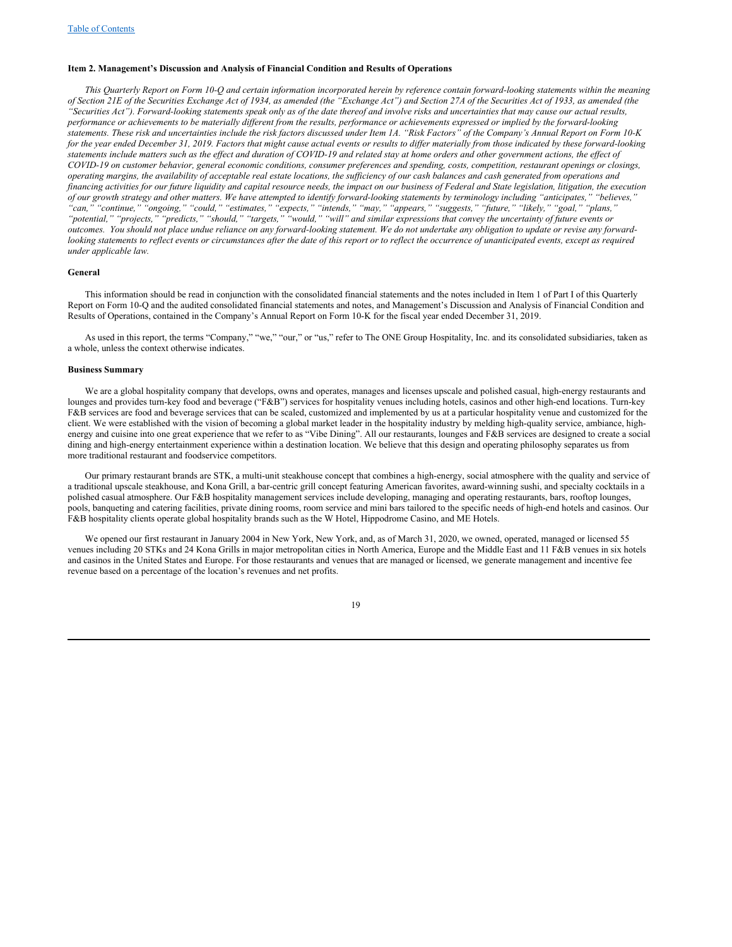#### <span id="page-18-0"></span>**Item 2. Management's Discussion and Analysis of Financial Condition and Results of Operations**

This Quarterly Report on Form 10-Q and certain information incorporated herein by reference contain forward-looking statements within the meaning of Section 21E of the Securities Exchange Act of 1934, as amended (the "Exchange Act") and Section 27A of the Securities Act of 1933, as amended (the "Securities Act"). Forward-looking statements speak only as of the date thereof and involve risks and uncertainties that may cause our actual results, performance or achievements to be materially different from the results, performance or achievements expressed or implied by the forward-looking statements. These risk and uncertainties include the risk factors discussed under Item 1A. "Risk Factors" of the Company's Annual Report on Form 10-K for the year ended December 31, 2019. Factors that might cause actual events or results to differ materially from those indicated by these forward-looking statements include matters such as the effect and duration of COVID-19 and related stay at home orders and other government actions, the effect of COVID-19 on customer behavior, general economic conditions, consumer preferences and spending, costs, competition, restaurant openings or closings, operating margins, the availability of acceptable real estate locations, the sufficiency of our cash balances and cash generated from operations and financing activities for our future liquidity and capital resource needs, the impact on our business of Federal and State legislation, litigation, the execution of our growth strategy and other matters. We have attempted to identify forward-looking statements by terminology including "anticipates," "believes, "can," "continue," "ongoing," "could," "estimates," "expects," "intends," "may," "appears," "suggests," "future," "likely," "goal," "plans," "potential," "projects," "predicts," "should," "targets," "would," "will" and similar expressions that convey the uncertainty of future events or outcomes. You should not place undue reliance on any forward-looking statement. We do not undertake any obligation to update or revise any forwardlooking statements to reflect events or circumstances after the date of this report or to reflect the occurrence of unanticipated events, except as required *under applicable law.*

#### **General**

This information should be read in conjunction with the consolidated financial statements and the notes included in Item 1 of Part I of this Quarterly Report on Form 10-Q and the audited consolidated financial statements and notes, and Management's Discussion and Analysis of Financial Condition and Results of Operations, contained in the Company's Annual Report on Form 10-K for the fiscal year ended December 31, 2019.

As used in this report, the terms "Company," "we," "our," or "us," refer to The ONE Group Hospitality, Inc. and its consolidated subsidiaries, taken as a whole, unless the context otherwise indicates.

#### **Business Summary**

We are a global hospitality company that develops, owns and operates, manages and licenses upscale and polished casual, high-energy restaurants and lounges and provides turn-key food and beverage ("F&B") services for hospitality venues including hotels, casinos and other high-end locations. Turn-key F&B services are food and beverage services that can be scaled, customized and implemented by us at a particular hospitality venue and customized for the client. We were established with the vision of becoming a global market leader in the hospitality industry by melding high-quality service, ambiance, highenergy and cuisine into one great experience that we refer to as "Vibe Dining". All our restaurants, lounges and F&B services are designed to create a social dining and high-energy entertainment experience within a destination location. We believe that this design and operating philosophy separates us from more traditional restaurant and foodservice competitors.

Our primary restaurant brands are STK, a multi-unit steakhouse concept that combines a high-energy, social atmosphere with the quality and service of a traditional upscale steakhouse, and Kona Grill, a bar-centric grill concept featuring American favorites, award-winning sushi, and specialty cocktails in a polished casual atmosphere. Our F&B hospitality management services include developing, managing and operating restaurants, bars, rooftop lounges, pools, banqueting and catering facilities, private dining rooms, room service and mini bars tailored to the specific needs of high-end hotels and casinos. Our F&B hospitality clients operate global hospitality brands such as the W Hotel, Hippodrome Casino, and ME Hotels.

We opened our first restaurant in January 2004 in New York, New York, and, as of March 31, 2020, we owned, operated, managed or licensed 55 venues including 20 STKs and 24 Kona Grills in major metropolitan cities in North America, Europe and the Middle East and 11 F&B venues in six hotels and casinos in the United States and Europe. For those restaurants and venues that are managed or licensed, we generate management and incentive fee revenue based on a percentage of the location's revenues and net profits.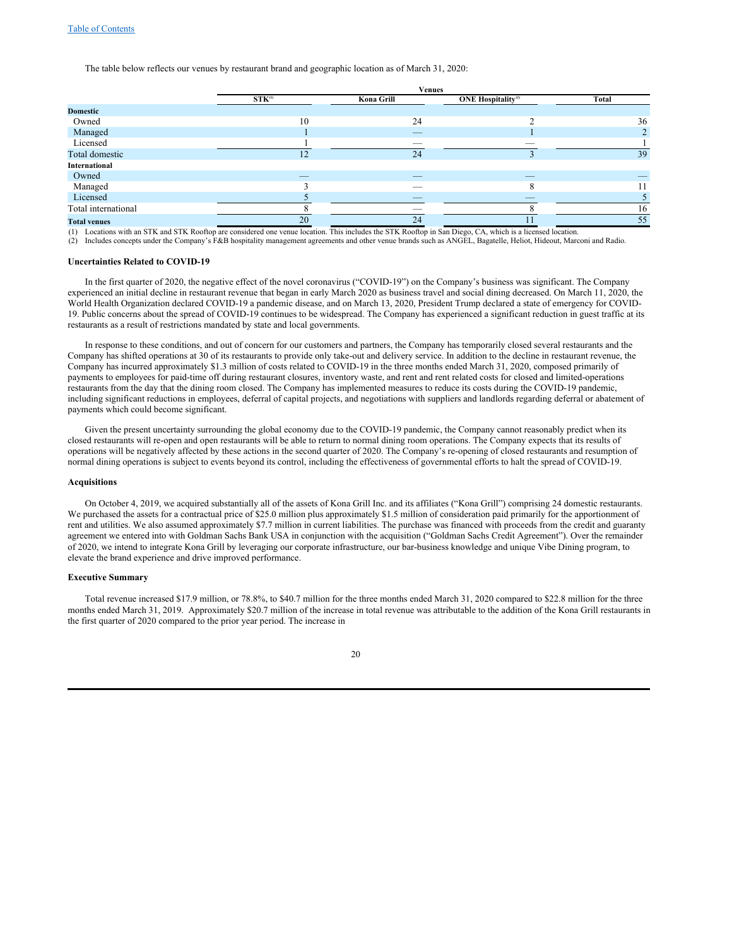The table below reflects our venues by restaurant brand and geographic location as of March 31, 2020:

|                     | <b>Venues</b>            |                          |                                       |           |  |
|---------------------|--------------------------|--------------------------|---------------------------------------|-----------|--|
|                     | $STK^{(1)}$              | Kona Grill               | <b>ONE Hospitality</b> <sup>(2)</sup> | Total     |  |
| <b>Domestic</b>     |                          |                          |                                       |           |  |
| Owned               | 10                       | 24                       |                                       | 36        |  |
| Managed             |                          | $\overline{\phantom{a}}$ |                                       | $\bigcap$ |  |
| Licensed            |                          | _                        | _                                     |           |  |
| Total domestic      | 12                       | 24                       |                                       | 39        |  |
| International       |                          |                          |                                       |           |  |
| Owned               | $\overline{\phantom{a}}$ | $\overline{\phantom{a}}$ | $\overline{\phantom{a}}$              |           |  |
| Managed             |                          |                          | $\circ$<br>Δ                          | 11        |  |
| Licensed            |                          | $\overline{\phantom{a}}$ |                                       |           |  |
| Total international |                          |                          |                                       | 16        |  |
| <b>Total venues</b> | 20                       | 24                       |                                       | 55        |  |

(1) Locations with an STK and STK Rooftop are considered one venue location. This includes the STK Rooftop in San Diego, CA, which is a licensed location.

(2) Includes concepts under the Company's F&B hospitality management agreements and other venue brands such as ANGEL, Bagatelle, Heliot, Hideout, Marconi and Radio.

### **Uncertainties Related to COVID-19**

In the first quarter of 2020, the negative effect of the novel coronavirus ("COVID-19") on the Company's business was significant. The Company experienced an initial decline in restaurant revenue that began in early March 2020 as business travel and social dining decreased. On March 11, 2020, the World Health Organization declared COVID-19 a pandemic disease, and on March 13, 2020, President Trump declared a state of emergency for COVID-19. Public concerns about the spread of COVID-19 continues to be widespread. The Company has experienced a significant reduction in guest traffic at its restaurants as a result of restrictions mandated by state and local governments.

In response to these conditions, and out of concern for our customers and partners, the Company has temporarily closed several restaurants and the Company has shifted operations at 30 of its restaurants to provide only take-out and delivery service. In addition to the decline in restaurant revenue, the Company has incurred approximately \$1.3 million of costs related to COVID-19 in the three months ended March 31, 2020, composed primarily of payments to employees for paid-time off during restaurant closures, inventory waste, and rent and rent related costs for closed and limited-operations restaurants from the day that the dining room closed. The Company has implemented measures to reduce its costs during the COVID-19 pandemic, including significant reductions in employees, deferral of capital projects, and negotiations with suppliers and landlords regarding deferral or abatement of payments which could become significant.

Given the present uncertainty surrounding the global economy due to the COVID-19 pandemic, the Company cannot reasonably predict when its closed restaurants will re-open and open restaurants will be able to return to normal dining room operations. The Company expects that its results of operations will be negatively affected by these actions in the second quarter of 2020. The Company's re-opening of closed restaurants and resumption of normal dining operations is subject to events beyond its control, including the effectiveness of governmental efforts to halt the spread of COVID-19.

#### **Acquisitions**

On October 4, 2019, we acquired substantially all of the assets of Kona Grill Inc. and its affiliates ("Kona Grill") comprising 24 domestic restaurants. We purchased the assets for a contractual price of \$25.0 million plus approximately \$1.5 million of consideration paid primarily for the apportionment of rent and utilities. We also assumed approximately \$7.7 million in current liabilities. The purchase was financed with proceeds from the credit and guaranty agreement we entered into with Goldman Sachs Bank USA in conjunction with the acquisition ("Goldman Sachs Credit Agreement"). Over the remainder of 2020, we intend to integrate Kona Grill by leveraging our corporate infrastructure, our bar-business knowledge and unique Vibe Dining program, to elevate the brand experience and drive improved performance.

## **Executive Summary**

Total revenue increased \$17.9 million, or 78.8%, to \$40.7 million for the three months ended March 31, 2020 compared to \$22.8 million for the three months ended March 31, 2019. Approximately \$20.7 million of the increase in total revenue was attributable to the addition of the Kona Grill restaurants in the first quarter of 2020 compared to the prior year period. The increase in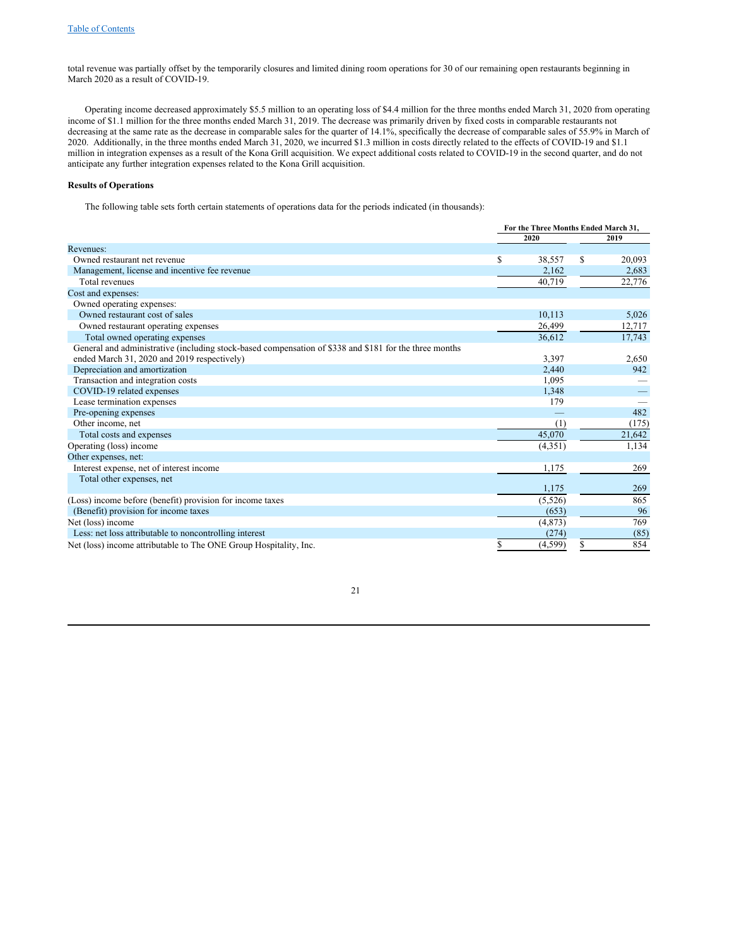total revenue was partially offset by the temporarily closures and limited dining room operations for 30 of our remaining open restaurants beginning in March 2020 as a result of COVID-19.

Operating income decreased approximately \$5.5 million to an operating loss of \$4.4 million for the three months ended March 31, 2020 from operating income of \$1.1 million for the three months ended March 31, 2019. The decrease was primarily driven by fixed costs in comparable restaurants not decreasing at the same rate as the decrease in comparable sales for the quarter of 14.1%, specifically the decrease of comparable sales of 55.9% in March of 2020. Additionally, in the three months ended March 31, 2020, we incurred \$1.3 million in costs directly related to the effects of COVID-19 and \$1.1 million in integration expenses as a result of the Kona Grill acquisition. We expect additional costs related to COVID-19 in the second quarter, and do not anticipate any further integration expenses related to the Kona Grill acquisition.

## **Results of Operations**

The following table sets forth certain statements of operations data for the periods indicated (in thousands):

|                                                                                                        | For the Three Months Ended March 31, |         |   |        |
|--------------------------------------------------------------------------------------------------------|--------------------------------------|---------|---|--------|
|                                                                                                        |                                      | 2020    |   | 2019   |
| Revenues:                                                                                              |                                      |         |   |        |
| Owned restaurant net revenue                                                                           | \$                                   | 38,557  | S | 20,093 |
| Management, license and incentive fee revenue                                                          |                                      | 2,162   |   | 2,683  |
| Total revenues                                                                                         |                                      | 40,719  |   | 22,776 |
| Cost and expenses:                                                                                     |                                      |         |   |        |
| Owned operating expenses:                                                                              |                                      |         |   |        |
| Owned restaurant cost of sales                                                                         |                                      | 10,113  |   | 5,026  |
| Owned restaurant operating expenses                                                                    |                                      | 26,499  |   | 12,717 |
| Total owned operating expenses                                                                         |                                      | 36,612  |   | 17,743 |
| General and administrative (including stock-based compensation of \$338 and \$181 for the three months |                                      |         |   |        |
| ended March 31, 2020 and 2019 respectively)                                                            |                                      | 3,397   |   | 2,650  |
| Depreciation and amortization                                                                          |                                      | 2,440   |   | 942    |
| Transaction and integration costs                                                                      |                                      | 1,095   |   |        |
| COVID-19 related expenses                                                                              |                                      | 1,348   |   |        |
| Lease termination expenses                                                                             |                                      | 179     |   |        |
| Pre-opening expenses                                                                                   |                                      |         |   | 482    |
| Other income, net                                                                                      |                                      | (1)     |   | (175)  |
| Total costs and expenses                                                                               |                                      | 45,070  |   | 21,642 |
| Operating (loss) income                                                                                |                                      | (4,351) |   | 1,134  |
| Other expenses, net:                                                                                   |                                      |         |   |        |
| Interest expense, net of interest income                                                               |                                      | 1,175   |   | 269    |
| Total other expenses, net                                                                              |                                      |         |   |        |
|                                                                                                        |                                      | 1,175   |   | 269    |
| (Loss) income before (benefit) provision for income taxes                                              |                                      | (5,526) |   | 865    |
| (Benefit) provision for income taxes                                                                   |                                      | (653)   |   | 96     |
| Net (loss) income                                                                                      |                                      | (4,873) |   | 769    |
| Less: net loss attributable to noncontrolling interest                                                 |                                      | (274)   |   | (85)   |
| Net (loss) income attributable to The ONE Group Hospitality, Inc.                                      | \$                                   | (4,599) | S | 854    |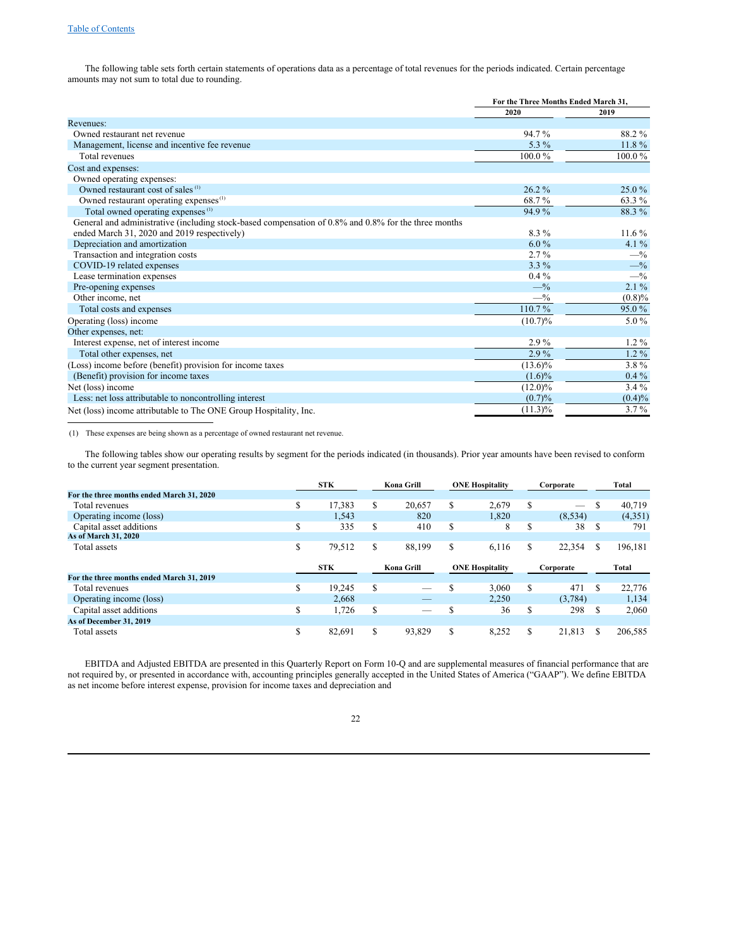The following table sets forth certain statements of operations data as a percentage of total revenues for the periods indicated. Certain percentage amounts may not sum to total due to rounding.

|                                                                                                      | For the Three Months Ended March 31. |           |
|------------------------------------------------------------------------------------------------------|--------------------------------------|-----------|
|                                                                                                      | 2020                                 | 2019      |
| Revenues:                                                                                            |                                      |           |
| Owned restaurant net revenue                                                                         | 94.7%                                | 88.2%     |
| Management, license and incentive fee revenue                                                        | 5.3 $%$                              | $11.8\%$  |
| Total revenues                                                                                       | 100.0%                               | 100.0%    |
| Cost and expenses:                                                                                   |                                      |           |
| Owned operating expenses:                                                                            |                                      |           |
| Owned restaurant cost of sales <sup>(1)</sup>                                                        | 26.2%                                | 25.0%     |
| Owned restaurant operating expenses <sup>(1)</sup>                                                   | 68.7%                                | 63.3 %    |
| Total owned operating expenses <sup>(1)</sup>                                                        | 94.9%                                | 88.3%     |
| General and administrative (including stock-based compensation of 0.8% and 0.8% for the three months |                                      |           |
| ended March 31, 2020 and 2019 respectively)                                                          | $8.3\%$                              | $11.6\%$  |
| Depreciation and amortization                                                                        | $6.0\%$                              | 4.1 $%$   |
| Transaction and integration costs                                                                    | $2.7\%$                              | $-$ %     |
| COVID-19 related expenses                                                                            | $3.3\%$                              | $-$ %     |
| Lease termination expenses                                                                           | $0.4\%$                              | $-$ %     |
| Pre-opening expenses                                                                                 | $-$ %                                | $2.1\%$   |
| Other income, net                                                                                    | $-$ %                                | $(0.8)\%$ |
| Total costs and expenses                                                                             | 110.7%                               | 95.0%     |
| Operating (loss) income                                                                              | $(10.7)\%$                           | 5.0%      |
| Other expenses, net:                                                                                 |                                      |           |
| Interest expense, net of interest income                                                             | $2.9\%$                              | $1.2\%$   |
| Total other expenses, net                                                                            | $2.9\%$                              | $1.2\%$   |
| (Loss) income before (benefit) provision for income taxes                                            | $(13.6)\%$                           | 3.8%      |
| (Benefit) provision for income taxes                                                                 | $(1.6)\%$                            | $0.4\%$   |
| Net (loss) income                                                                                    | $(12.0)\%$                           | $3.4\%$   |
| Less: net loss attributable to noncontrolling interest                                               | (0.7)%                               | $(0.4)\%$ |
| Net (loss) income attributable to The ONE Group Hospitality, Inc.                                    | $(11.3)\%$                           | $3.7\%$   |

(1) These expenses are being shown as a percentage of owned restaurant net revenue.

The following tables show our operating results by segment for the periods indicated (in thousands). Prior year amounts have been revised to conform to the current year segment presentation.

|                                           |   | <b>STK</b> |   | Kona Grill | <b>ONE Hospitality</b> |    | Corporate |     | Total   |
|-------------------------------------------|---|------------|---|------------|------------------------|----|-----------|-----|---------|
| For the three months ended March 31, 2020 |   |            |   |            |                        |    |           |     |         |
| Total revenues                            | S | 17.383     | S | 20.657     | \$<br>2.679            | S  |           | \$  | 40.719  |
| Operating income (loss)                   |   | 1,543      |   | 820        | 1.820                  |    | (8,534)   |     | (4,351) |
| Capital asset additions                   | S | 335        | S | 410        | \$<br>8                | S  | 38        | S   | 791     |
| As of March 31, 2020                      |   |            |   |            |                        |    |           |     |         |
| Total assets                              | S | 79,512     | S | 88.199     | \$<br>6.116            | \$ | 22,354    | \$  | 196,181 |
|                                           |   | <b>STK</b> |   | Kona Grill | <b>ONE Hospitality</b> |    | Corporate |     | Total   |
| For the three months ended March 31, 2019 |   |            |   |            |                        |    |           |     |         |
| Total revenues                            | S | 19.245     | S |            | \$<br>3.060            | S  | 471       | \$. | 22,776  |
| Operating income (loss)                   |   | 2.668      |   | _          | 2.250                  |    | (3,784)   |     | 1,134   |
| Capital asset additions                   | S | 1,726      | S | _          | \$<br>36               | S  | 298       | \$  | 2,060   |
| As of December 31, 2019                   |   |            |   |            |                        |    |           |     |         |
| Total assets                              | S | 82.691     | S | 93.829     | \$<br>8,252            | \$ | 21.813    | S   | 206,585 |

EBITDA and Adjusted EBITDA are presented in this Quarterly Report on Form 10-Q and are supplemental measures of financial performance that are not required by, or presented in accordance with, accounting principles generally accepted in the United States of America ("GAAP"). We define EBITDA as net income before interest expense, provision for income taxes and depreciation and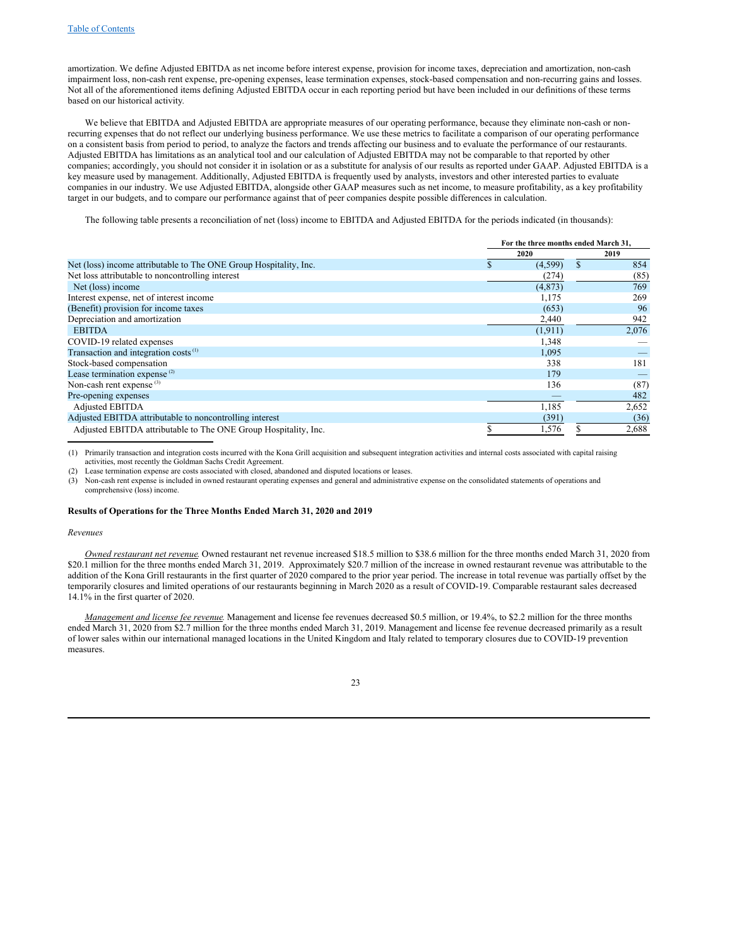amortization. We define Adjusted EBITDA as net income before interest expense, provision for income taxes, depreciation and amortization, non-cash impairment loss, non-cash rent expense, pre-opening expenses, lease termination expenses, stock-based compensation and non-recurring gains and losses. Not all of the aforementioned items defining Adjusted EBITDA occur in each reporting period but have been included in our definitions of these terms based on our historical activity*.*

We believe that EBITDA and Adjusted EBITDA are appropriate measures of our operating performance, because they eliminate non-cash or nonrecurring expenses that do not reflect our underlying business performance. We use these metrics to facilitate a comparison of our operating performance on a consistent basis from period to period, to analyze the factors and trends affecting our business and to evaluate the performance of our restaurants. Adjusted EBITDA has limitations as an analytical tool and our calculation of Adjusted EBITDA may not be comparable to that reported by other companies; accordingly, you should not consider it in isolation or as a substitute for analysis of our results as reported under GAAP. Adjusted EBITDA is a key measure used by management. Additionally, Adjusted EBITDA is frequently used by analysts, investors and other interested parties to evaluate companies in our industry. We use Adjusted EBITDA, alongside other GAAP measures such as net income, to measure profitability, as a key profitability target in our budgets, and to compare our performance against that of peer companies despite possible differences in calculation.

The following table presents a reconciliation of net (loss) income to EBITDA and Adjusted EBITDA for the periods indicated (in thousands):

|                                                                   | For the three months ended March 31, |           |
|-------------------------------------------------------------------|--------------------------------------|-----------|
|                                                                   | 2020                                 | 2019      |
| Net (loss) income attributable to The ONE Group Hospitality, Inc. | (4,599)                              | \$<br>854 |
| Net loss attributable to noncontrolling interest                  | (274)                                | (85)      |
| Net (loss) income                                                 | (4,873)                              | 769       |
| Interest expense, net of interest income                          | 1,175                                | 269       |
| (Benefit) provision for income taxes                              | (653)                                | 96        |
| Depreciation and amortization                                     | 2,440                                | 942       |
| <b>EBITDA</b>                                                     | (1, 911)                             | 2,076     |
| COVID-19 related expenses                                         | 1,348                                |           |
| Transaction and integration costs <sup>(1)</sup>                  | 1,095                                |           |
| Stock-based compensation                                          | 338                                  | 181       |
| Lease termination expense <sup>(2)</sup>                          | 179                                  |           |
| Non-cash rent expense <sup>(3)</sup>                              | 136                                  | (87)      |
| Pre-opening expenses                                              |                                      | 482       |
| <b>Adjusted EBITDA</b>                                            | 1,185                                | 2,652     |
| Adjusted EBITDA attributable to noncontrolling interest           | (391)                                | (36)      |
| Adjusted EBITDA attributable to The ONE Group Hospitality, Inc.   | 1,576                                | 2,688     |

(1) Primarily transaction and integration costs incurred with the Kona Grill acquisition and subsequent integration activities and internal costs associated with capital raising activities, most recently the Goldman Sachs Credit Agreement.

(2) Lease termination expense are costs associated with closed, abandoned and disputed locations or leases.

(3) Non-cash rent expense is included in owned restaurant operating expenses and general and administrative expense on the consolidated statements of operations and comprehensive (loss) income.

## **Results of Operations for the Three Months Ended March 31, 2020 and 2019**

#### *Revenues*

*Owned restaurant net revenue.* Owned restaurant net revenue increased \$18.5 million to \$38.6 million for the three months ended March 31, 2020 from \$20.1 million for the three months ended March 31, 2019. Approximately \$20.7 million of the increase in owned restaurant revenue was attributable to the addition of the Kona Grill restaurants in the first quarter of 2020 compared to the prior year period. The increase in total revenue was partially offset by the temporarily closures and limited operations of our restaurants beginning in March 2020 as a result of COVID-19. Comparable restaurant sales decreased 14.1% in the first quarter of 2020.

*Management and license fee revenue.* Management and license fee revenues decreased \$0.5 million, or 19.4%, to \$2.2 million for the three months ended March 31, 2020 from \$2.7 million for the three months ended March 31, 2019. Management and license fee revenue decreased primarily as a result of lower sales within our international managed locations in the United Kingdom and Italy related to temporary closures due to COVID-19 prevention measures.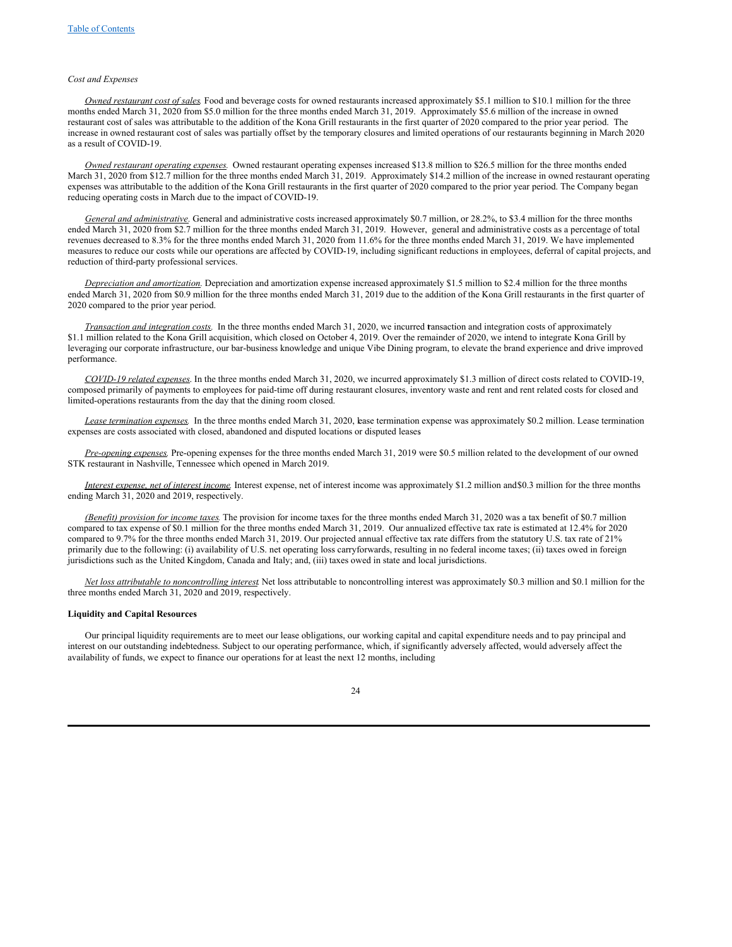## *Cost and Expenses*

*Owned restaurant cost of sales.* Food and beverage costs for owned restaurants increased approximately \$5.1 million to \$10.1 million for the three months ended March 31, 2020 from \$5.0 million for the three months ended March 31, 2019. Approximately \$5.6 million of the increase in owned restaurant cost of sales was attributable to the addition of the Kona Grill restaurants in the first quarter of 2020 compared to the prior year period. The increase in owned restaurant cost of sales was partially offset by the temporary closures and limited operations of our restaurants beginning in March 2020 as a result of COVID-19.

*Owned restaurant operating expenses.* Owned restaurant operating expenses increased \$13.8 million to \$26.5 million for the three months ended March 31, 2020 from \$12.7 million for the three months ended March 31, 2019. Approximately \$14.2 million of the increase in owned restaurant operating expenses was attributable to the addition of the Kona Grill restaurants in the first quarter of 2020 compared to the prior year period. The Company began reducing operating costs in March due to the impact of COVID-19.

*General and administrative.* General and administrative costs increased approximately \$0.7 million, or 28.2%, to \$3.4 million for the three months ended March 31, 2020 from \$2.7 million for the three months ended March 31, 2019. However, general and administrative costs as a percentage of total revenues decreased to 8.3% for the three months ended March 31, 2020 from 11.6% for the three months ended March 31, 2019. We have implemented measures to reduce our costs while our operations are affected by COVID-19, including significant reductions in employees, deferral of capital projects, and reduction of third-party professional services.

*Depreciation and amortization.* Depreciation and amortization expense increased approximately \$1.5 million to \$2.4 million for the three months ended March 31, 2020 from \$0.9 million for the three months ended March 31, 2019 due to the addition of the Kona Grill restaurants in the first quarter of 2020 compared to the prior year period.

*Transaction and integration costs.* In the three months ended March 31, 2020, we incurred transaction and integration costs of approximately \$1.1 million related to the Kona Grill acquisition, which closed on October 4, 2019. Over the remainder of 2020, we intend to integrate Kona Grill by leveraging our corporate infrastructure, our bar-business knowledge and unique Vibe Dining program, to elevate the brand experience and drive improved performance.

*COVID-19 related expenses*. In the three months ended March 31, 2020, we incurred approximately \$1.3 million of direct costs related to COVID-19, composed primarily of payments to employees for paid-time off during restaurant closures, inventory waste and rent and rent related costs for closed and limited-operations restaurants from the day that the dining room closed.

Lease *termination expenses*. In the three months ended March 31, 2020, lease termination expense was approximately \$0.2 million. Lease termination expenses are costs associated with closed, abandoned and disputed locations or disputed leases.

*Pre-opening expenses.* Pre-opening expenses for the three months ended March 31, 2019 were \$0.5 million related to the development of our owned STK restaurant in Nashville, Tennessee which opened in March 2019.

*Interest expense, net of interest income.* Interest expense, net of interest income was approximately \$1.2 million and\$0.3 million for the three months ending March 31, 2020 and 2019, respectively.

*(Benefit) provision for income taxes.* The provision for income taxes for the three months ended March 31, 2020 was a tax benefit of \$0.7 million compared to tax expense of \$0.1 million for the three months ended March 31, 2019. Our annualized effective tax rate is estimated at 12.4% for 2020 compared to 9.7% for the three months ended March 31, 2019. Our projected annual effective tax rate differs from the statutory U.S. tax rate of 21% primarily due to the following: (i) availability of U.S. net operating loss carryforwards, resulting in no federal income taxes; (ii) taxes owed in foreign jurisdictions such as the United Kingdom, Canada and Italy; and, (iii) taxes owed in state and local jurisdictions.

*Net loss attributable to noncontrolling interest*. Net loss attributable to noncontrolling interest was approximately \$0.3 million and \$0.1 million for the three months ended March 31, 2020 and 2019, respectively.

#### **Liquidity and Capital Resources**

Our principal liquidity requirements are to meet our lease obligations, our working capital and capital expenditure needs and to pay principal and interest on our outstanding indebtedness. Subject to our operating performance, which, if significantly adversely affected, would adversely affect the availability of funds, we expect to finance our operations for at least the next 12 months, including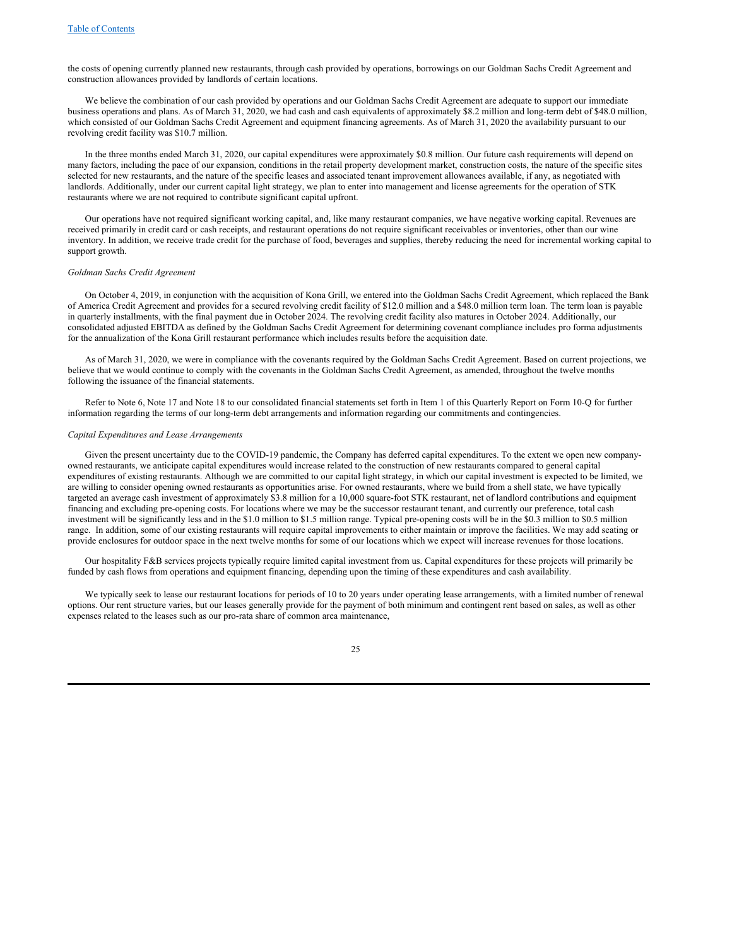the costs of opening currently planned new restaurants, through cash provided by operations, borrowings on our Goldman Sachs Credit Agreement and construction allowances provided by landlords of certain locations.

We believe the combination of our cash provided by operations and our Goldman Sachs Credit Agreement are adequate to support our immediate business operations and plans. As of March 31, 2020, we had cash and cash equivalents of approximately \$8.2 million and long-term debt of \$48.0 million, which consisted of our Goldman Sachs Credit Agreement and equipment financing agreements. As of March 31, 2020 the availability pursuant to our revolving credit facility was \$10.7 million.

In the three months ended March 31, 2020, our capital expenditures were approximately \$0.8 million. Our future cash requirements will depend on many factors, including the pace of our expansion, conditions in the retail property development market, construction costs, the nature of the specific sites selected for new restaurants, and the nature of the specific leases and associated tenant improvement allowances available, if any, as negotiated with landlords. Additionally, under our current capital light strategy, we plan to enter into management and license agreements for the operation of STK restaurants where we are not required to contribute significant capital upfront.

Our operations have not required significant working capital, and, like many restaurant companies, we have negative working capital. Revenues are received primarily in credit card or cash receipts, and restaurant operations do not require significant receivables or inventories, other than our wine inventory. In addition, we receive trade credit for the purchase of food, beverages and supplies, thereby reducing the need for incremental working capital to support growth.

#### *Goldman Sachs Credit Agreement*

On October 4, 2019, in conjunction with the acquisition of Kona Grill, we entered into the Goldman Sachs Credit Agreement, which replaced the Bank of America Credit Agreement and provides for a secured revolving credit facility of \$12.0 million and a \$48.0 million term loan. The term loan is payable in quarterly installments, with the final payment due in October 2024. The revolving credit facility also matures in October 2024. Additionally, our consolidated adjusted EBITDA as defined by the Goldman Sachs Credit Agreement for determining covenant compliance includes pro forma adjustments for the annualization of the Kona Grill restaurant performance which includes results before the acquisition date.

As of March 31, 2020, we were in compliance with the covenants required by the Goldman Sachs Credit Agreement. Based on current projections, we believe that we would continue to comply with the covenants in the Goldman Sachs Credit Agreement, as amended, throughout the twelve months following the issuance of the financial statements.

Refer to Note 6, Note 17 and Note 18 to our consolidated financial statements set forth in Item 1 of this Quarterly Report on Form 10-Q for further information regarding the terms of our long-term debt arrangements and information regarding our commitments and contingencies.

#### *Capital Expenditures and Lease Arrangements*

Given the present uncertainty due to the COVID-19 pandemic, the Company has deferred capital expenditures. To the extent we open new companyowned restaurants, we anticipate capital expenditures would increase related to the construction of new restaurants compared to general capital expenditures of existing restaurants. Although we are committed to our capital light strategy, in which our capital investment is expected to be limited, we are willing to consider opening owned restaurants as opportunities arise. For owned restaurants, where we build from a shell state, we have typically targeted an average cash investment of approximately \$3.8 million for a 10,000 square-foot STK restaurant, net of landlord contributions and equipment financing and excluding pre-opening costs. For locations where we may be the successor restaurant tenant, and currently our preference, total cash investment will be significantly less and in the \$1.0 million to \$1.5 million range. Typical pre-opening costs will be in the \$0.3 million to \$0.5 million range. In addition, some of our existing restaurants will require capital improvements to either maintain or improve the facilities. We may add seating or provide enclosures for outdoor space in the next twelve months for some of our locations which we expect will increase revenues for those locations.

Our hospitality F&B services projects typically require limited capital investment from us. Capital expenditures for these projects will primarily be funded by cash flows from operations and equipment financing, depending upon the timing of these expenditures and cash availability.

We typically seek to lease our restaurant locations for periods of 10 to 20 years under operating lease arrangements, with a limited number of renewal options. Our rent structure varies, but our leases generally provide for the payment of both minimum and contingent rent based on sales, as well as other expenses related to the leases such as our pro-rata share of common area maintenance,

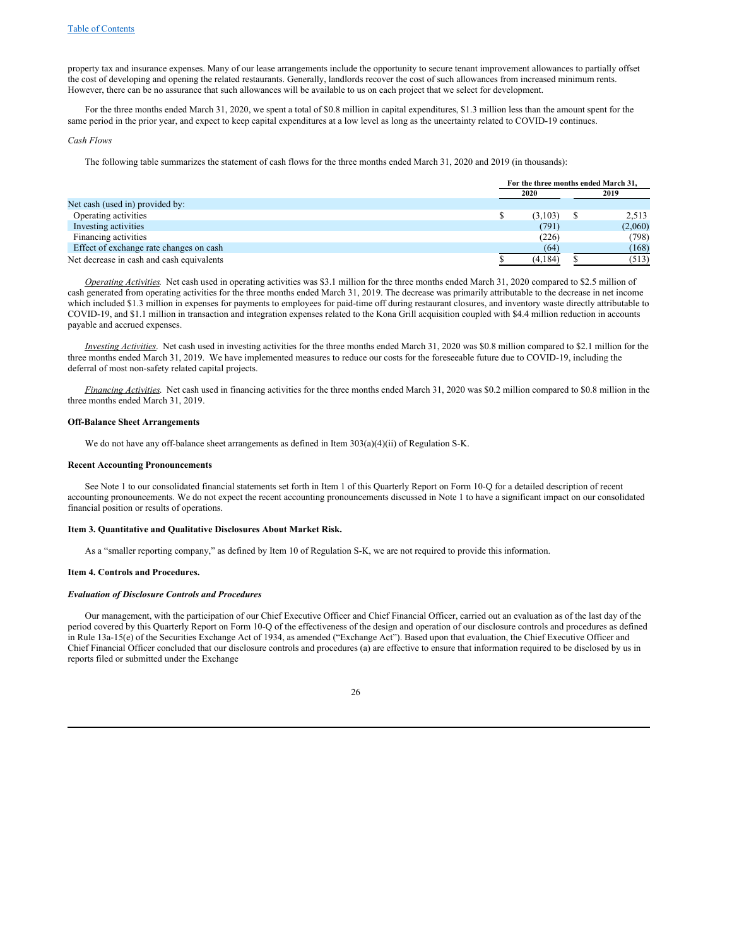property tax and insurance expenses. Many of our lease arrangements include the opportunity to secure tenant improvement allowances to partially offset the cost of developing and opening the related restaurants. Generally, landlords recover the cost of such allowances from increased minimum rents. However, there can be no assurance that such allowances will be available to us on each project that we select for development.

For the three months ended March 31, 2020, we spent a total of \$0.8 million in capital expenditures, \$1.3 million less than the amount spent for the same period in the prior year, and expect to keep capital expenditures at a low level as long as the uncertainty related to COVID-19 continues.

#### *Cash Flows*

The following table summarizes the statement of cash flows for the three months ended March 31, 2020 and 2019 (in thousands):

|                                           | For the three months ended March 31. |  |         |
|-------------------------------------------|--------------------------------------|--|---------|
|                                           | 2020                                 |  | 2019    |
| Net cash (used in) provided by:           |                                      |  |         |
| Operating activities                      | (3,103)                              |  | 2,513   |
| Investing activities                      | (791)                                |  | (2,060) |
| Financing activities                      | (226)                                |  | (798)   |
| Effect of exchange rate changes on cash   | (64)                                 |  | (168)   |
| Net decrease in cash and cash equivalents | (4, 184)                             |  | (513)   |

*Operating Activities.* Net cash used in operating activities was \$3.1 million for the three months ended March 31, 2020 compared to \$2.5 million of cash generated from operating activities for the three months ended March 31, 2019. The decrease was primarily attributable to the decrease in net income which included \$1.3 million in expenses for payments to employees for paid-time off during restaurant closures, and inventory waste directly attributable to COVID-19, and \$1.1 million in transaction and integration expenses related to the Kona Grill acquisition coupled with \$4.4 million reduction in accounts payable and accrued expenses.

*Investing Activities*. Net cash used in investing activities for the three months ended March 31, 2020 was \$0.8 million compared to \$2.1 million for the three months ended March 31, 2019. We have implemented measures to reduce our costs for the foreseeable future due to COVID-19, including the deferral of most non-safety related capital projects.

*Financing Activities*. Net cash used in financing activities for the three months ended March 31, 2020 was \$0.2 million compared to \$0.8 million in the three months ended March 31, 2019.

#### **Off-Balance Sheet Arrangements**

We do not have any off-balance sheet arrangements as defined in Item 303(a)(4)(ii) of Regulation S-K.

#### **Recent Accounting Pronouncements**

See Note 1 to our consolidated financial statements set forth in Item 1 of this Quarterly Report on Form 10-Q for a detailed description of recent accounting pronouncements. We do not expect the recent accounting pronouncements discussed in Note 1 to have a significant impact on our consolidated financial position or results of operations.

#### **Item 3. Quantitative and Qualitative Disclosures About Market Risk.**

<span id="page-25-1"></span><span id="page-25-0"></span>As a "smaller reporting company," as defined by Item 10 of Regulation S-K, we are not required to provide this information.

#### **Item 4. Controls and Procedures.**

## *Evaluation of Disclosure Controls and Procedures*

Our management, with the participation of our Chief Executive Officer and Chief Financial Officer, carried out an evaluation as of the last day of the period covered by this Quarterly Report on Form 10-Q of the effectiveness of the design and operation of our disclosure controls and procedures as defined in Rule 13a-15(e) of the Securities Exchange Act of 1934, as amended ("Exchange Act"). Based upon that evaluation, the Chief Executive Officer and Chief Financial Officer concluded that our disclosure controls and procedures (a) are effective to ensure that information required to be disclosed by us in reports filed or submitted under the Exchange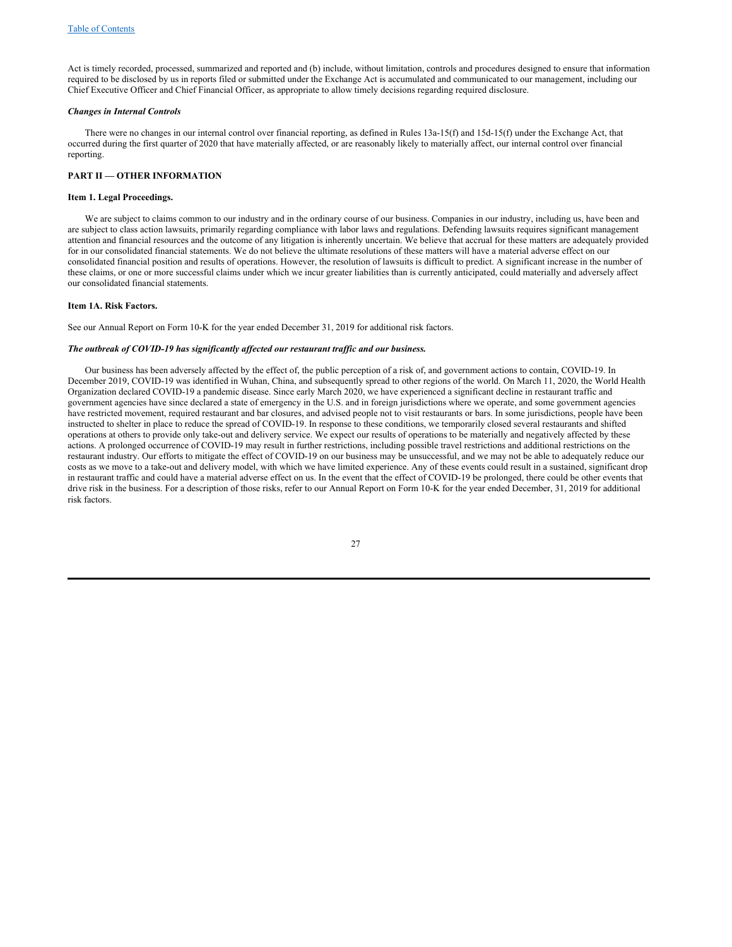Act is timely recorded, processed, summarized and reported and (b) include, without limitation, controls and procedures designed to ensure that information required to be disclosed by us in reports filed or submitted under the Exchange Act is accumulated and communicated to our management, including our Chief Executive Officer and Chief Financial Officer, as appropriate to allow timely decisions regarding required disclosure.

#### *Changes in Internal Controls*

There were no changes in our internal control over financial reporting, as defined in Rules 13a-15(f) and 15d-15(f) under the Exchange Act, that occurred during the first quarter of 2020 that have materially affected, or are reasonably likely to materially affect, our internal control over financial reporting.

## <span id="page-26-0"></span>**PART II — OTHER INFORMATION**

#### <span id="page-26-1"></span>**Item 1. Legal Proceedings.**

We are subject to claims common to our industry and in the ordinary course of our business. Companies in our industry, including us, have been and are subject to class action lawsuits, primarily regarding compliance with labor laws and regulations. Defending lawsuits requires significant management attention and financial resources and the outcome of any litigation is inherently uncertain. We believe that accrual for these matters are adequately provided for in our consolidated financial statements. We do not believe the ultimate resolutions of these matters will have a material adverse effect on our consolidated financial position and results of operations. However, the resolution of lawsuits is difficult to predict. A significant increase in the number of these claims, or one or more successful claims under which we incur greater liabilities than is currently anticipated, could materially and adversely affect our consolidated financial statements.

#### <span id="page-26-2"></span>**Item 1A. Risk Factors.**

See our Annual Report on Form 10-K for the year ended December 31, 2019 for additional risk factors.

## *The outbreak of COVID-19 has significantly af ected our restaurant traf ic and our business.*

Our business has been adversely affected by the effect of, the public perception of a risk of, and government actions to contain, COVID-19. In December 2019, COVID-19 was identified in Wuhan, China, and subsequently spread to other regions of the world. On March 11, 2020, the World Health Organization declared COVID-19 a pandemic disease. Since early March 2020, we have experienced a significant decline in restaurant traffic and government agencies have since declared a state of emergency in the U.S. and in foreign jurisdictions where we operate, and some government agencies have restricted movement, required restaurant and bar closures, and advised people not to visit restaurants or bars. In some jurisdictions, people have been instructed to shelter in place to reduce the spread of COVID-19. In response to these conditions, we temporarily closed several restaurants and shifted operations at others to provide only take-out and delivery service. We expect our results of operations to be materially and negatively affected by these actions. A prolonged occurrence of COVID-19 may result in further restrictions, including possible travel restrictions and additional restrictions on the restaurant industry. Our efforts to mitigate the effect of COVID-19 on our business may be unsuccessful, and we may not be able to adequately reduce our costs as we move to a take-out and delivery model, with which we have limited experience. Any of these events could result in a sustained, significant drop in restaurant traffic and could have a material adverse effect on us. In the event that the effect of COVID-19 be prolonged, there could be other events that drive risk in the business. For a description of those risks, refer to our Annual Report on Form 10-K for the year ended December, 31, 2019 for additional risk factors.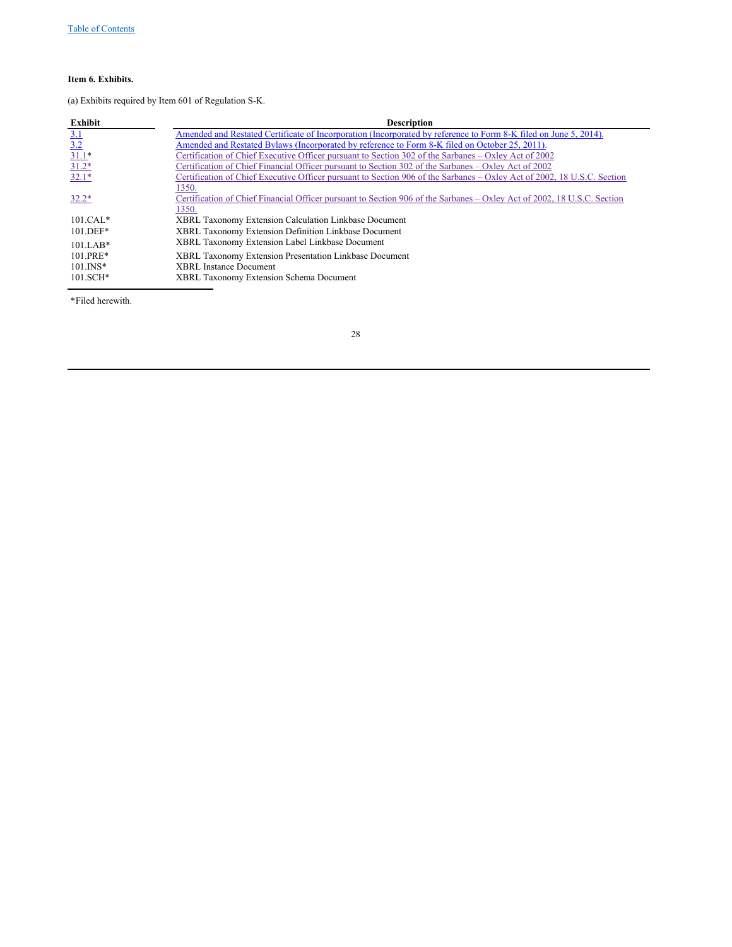# <span id="page-27-0"></span>**Item 6. Exhibits.**

(a) Exhibits required by Item 601 of Regulation S-K.

| Exhibit       | <b>Description</b>                                                                                                      |
|---------------|-------------------------------------------------------------------------------------------------------------------------|
| 3.1           | Amended and Restated Certificate of Incorporation (Incorporated by reference to Form 8-K filed on June 5, 2014).        |
| 3.2           | Amended and Restated Bylaws (Incorporated by reference to Form 8-K filed on October 25, 2011).                          |
| $31.1*$       | Certification of Chief Executive Officer pursuant to Section 302 of the Sarbanes – Oxley Act of 2002                    |
| $31.2*$       | Certification of Chief Financial Officer pursuant to Section 302 of the Sarbanes – Oxley Act of 2002                    |
| $32.1*$       | Certification of Chief Executive Officer pursuant to Section 906 of the Sarbanes – Oxley Act of 2002, 18 U.S.C. Section |
|               | 1350.                                                                                                                   |
| $32.2*$       | Certification of Chief Financial Officer pursuant to Section 906 of the Sarbanes – Oxley Act of 2002, 18 U.S.C. Section |
|               | 1350.                                                                                                                   |
| $101.CAL*$    | XBRL Taxonomy Extension Calculation Linkbase Document                                                                   |
| $101.$ DEF*   | XBRL Taxonomy Extension Definition Linkbase Document                                                                    |
| $101.LAB*$    | XBRL Taxonomy Extension Label Linkbase Document                                                                         |
| $101.PRE*$    | XBRL Taxonomy Extension Presentation Linkbase Document                                                                  |
| $101.$ $INS*$ | <b>XBRL</b> Instance Document                                                                                           |
| $101.SCH*$    | <b>XBRL Taxonomy Extension Schema Document</b>                                                                          |

\*Filed herewith.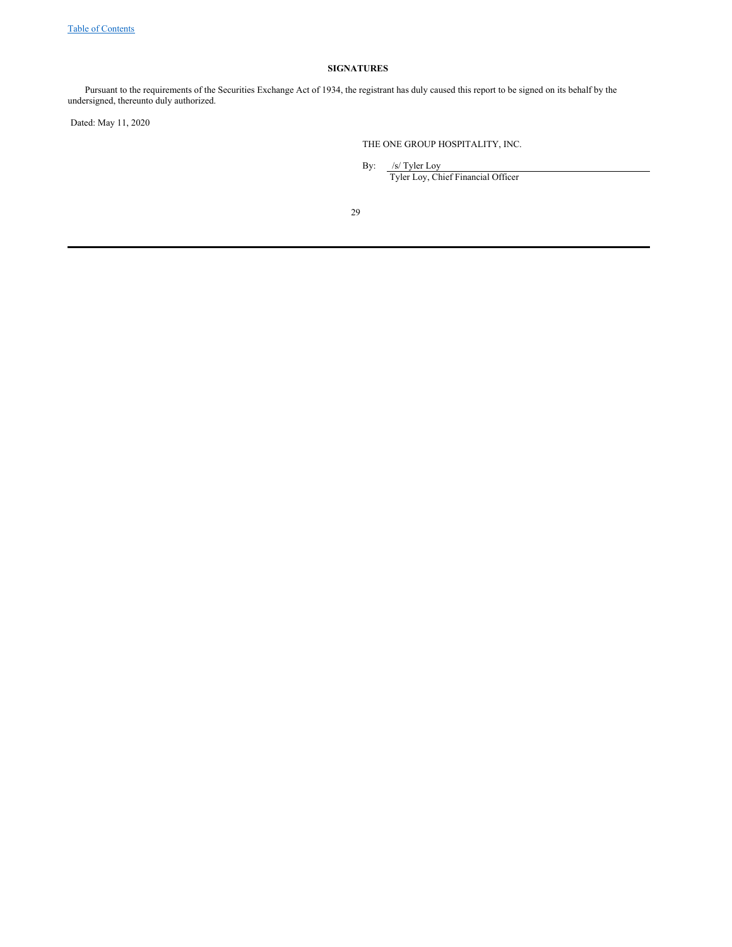# <span id="page-28-0"></span>**SIGNATURES**

Pursuant to the requirements of the Securities Exchange Act of 1934, the registrant has duly caused this report to be signed on its behalf by the undersigned, thereunto duly authorized.

Dated: May 11, 2020

THE ONE GROUP HOSPITALITY, INC.

By: /s/ Tyler Loy

Tyler Loy, Chief Financial Officer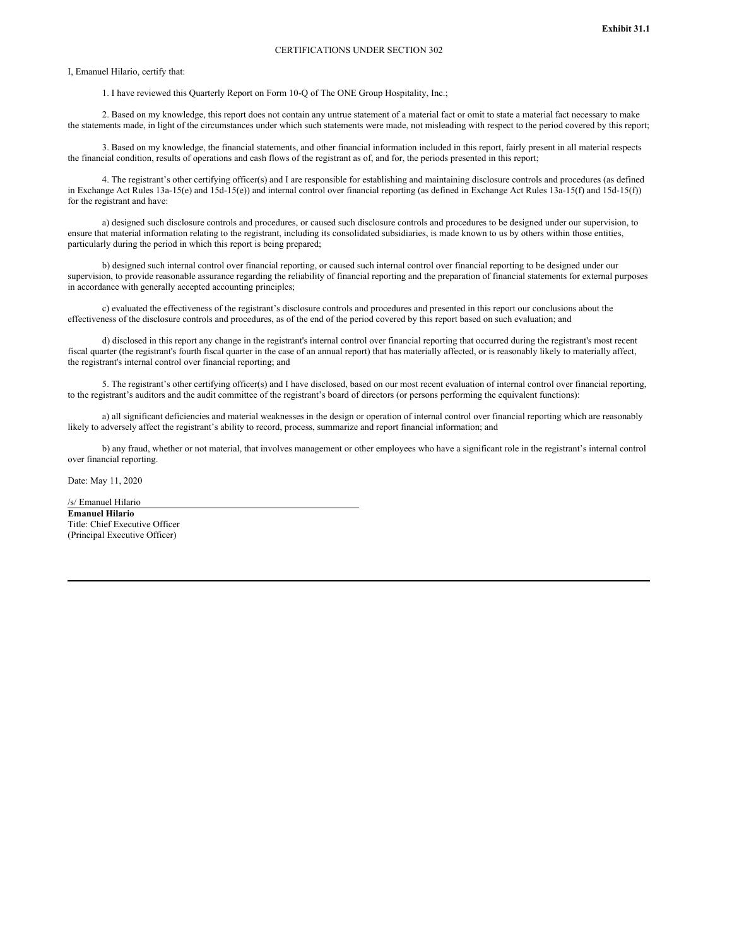<span id="page-29-0"></span>I, Emanuel Hilario, certify that:

1. I have reviewed this Quarterly Report on Form 10-Q of The ONE Group Hospitality, Inc.;

2. Based on my knowledge, this report does not contain any untrue statement of a material fact or omit to state a material fact necessary to make the statements made, in light of the circumstances under which such statements were made, not misleading with respect to the period covered by this report;

3. Based on my knowledge, the financial statements, and other financial information included in this report, fairly present in all material respects the financial condition, results of operations and cash flows of the registrant as of, and for, the periods presented in this report;

4. The registrant's other certifying officer(s) and I are responsible for establishing and maintaining disclosure controls and procedures (as defined in Exchange Act Rules 13a-15(e) and 15d-15(e)) and internal control over financial reporting (as defined in Exchange Act Rules 13a-15(f) and 15d-15(f)) for the registrant and have:

a) designed such disclosure controls and procedures, or caused such disclosure controls and procedures to be designed under our supervision, to ensure that material information relating to the registrant, including its consolidated subsidiaries, is made known to us by others within those entities, particularly during the period in which this report is being prepared;

b) designed such internal control over financial reporting, or caused such internal control over financial reporting to be designed under our supervision, to provide reasonable assurance regarding the reliability of financial reporting and the preparation of financial statements for external purposes in accordance with generally accepted accounting principles;

c) evaluated the effectiveness of the registrant's disclosure controls and procedures and presented in this report our conclusions about the effectiveness of the disclosure controls and procedures, as of the end of the period covered by this report based on such evaluation; and

d) disclosed in this report any change in the registrant's internal control over financial reporting that occurred during the registrant's most recent fiscal quarter (the registrant's fourth fiscal quarter in the case of an annual report) that has materially affected, or is reasonably likely to materially affect, the registrant's internal control over financial reporting; and

5. The registrant's other certifying officer(s) and I have disclosed, based on our most recent evaluation of internal control over financial reporting, to the registrant's auditors and the audit committee of the registrant's board of directors (or persons performing the equivalent functions):

a) all significant deficiencies and material weaknesses in the design or operation of internal control over financial reporting which are reasonably likely to adversely affect the registrant's ability to record, process, summarize and report financial information; and

b) any fraud, whether or not material, that involves management or other employees who have a significant role in the registrant's internal control over financial reporting.

Date: May 11, 2020

/s/ Emanuel Hilario **Emanuel Hilario** Title: Chief Executive Officer (Principal Executive Officer)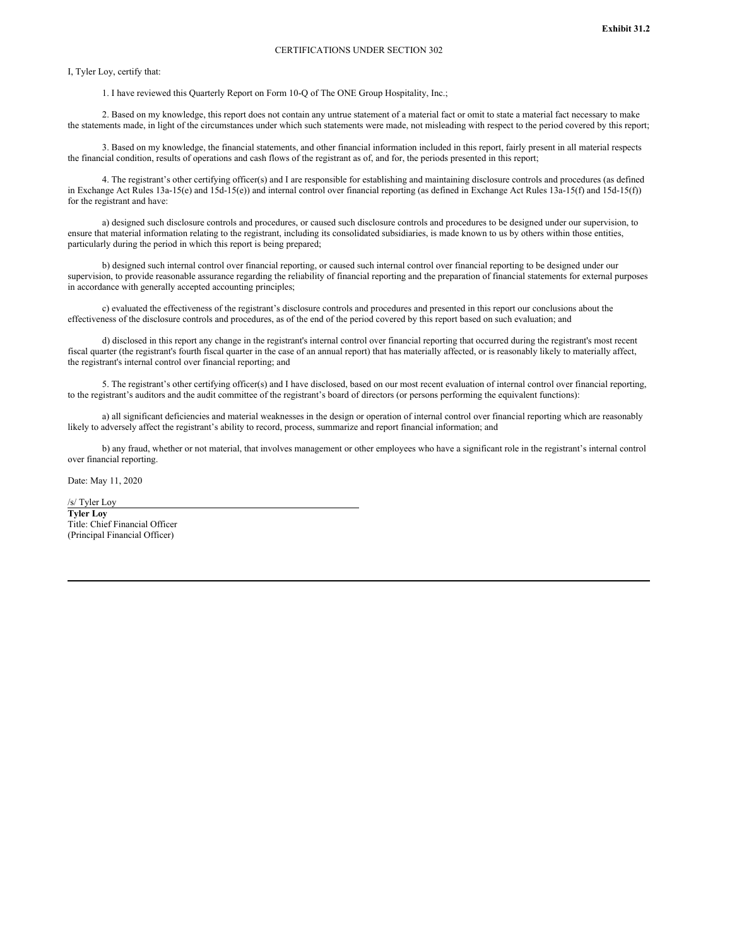<span id="page-30-0"></span>I, Tyler Loy, certify that:

1. I have reviewed this Quarterly Report on Form 10-Q of The ONE Group Hospitality, Inc.;

2. Based on my knowledge, this report does not contain any untrue statement of a material fact or omit to state a material fact necessary to make the statements made, in light of the circumstances under which such statements were made, not misleading with respect to the period covered by this report;

3. Based on my knowledge, the financial statements, and other financial information included in this report, fairly present in all material respects the financial condition, results of operations and cash flows of the registrant as of, and for, the periods presented in this report;

4. The registrant's other certifying officer(s) and I are responsible for establishing and maintaining disclosure controls and procedures (as defined in Exchange Act Rules 13a-15(e) and 15d-15(e)) and internal control over financial reporting (as defined in Exchange Act Rules 13a-15(f) and 15d-15(f)) for the registrant and have:

a) designed such disclosure controls and procedures, or caused such disclosure controls and procedures to be designed under our supervision, to ensure that material information relating to the registrant, including its consolidated subsidiaries, is made known to us by others within those entities, particularly during the period in which this report is being prepared;

b) designed such internal control over financial reporting, or caused such internal control over financial reporting to be designed under our supervision, to provide reasonable assurance regarding the reliability of financial reporting and the preparation of financial statements for external purposes in accordance with generally accepted accounting principles;

c) evaluated the effectiveness of the registrant's disclosure controls and procedures and presented in this report our conclusions about the effectiveness of the disclosure controls and procedures, as of the end of the period covered by this report based on such evaluation; and

d) disclosed in this report any change in the registrant's internal control over financial reporting that occurred during the registrant's most recent fiscal quarter (the registrant's fourth fiscal quarter in the case of an annual report) that has materially affected, or is reasonably likely to materially affect, the registrant's internal control over financial reporting; and

5. The registrant's other certifying officer(s) and I have disclosed, based on our most recent evaluation of internal control over financial reporting, to the registrant's auditors and the audit committee of the registrant's board of directors (or persons performing the equivalent functions):

a) all significant deficiencies and material weaknesses in the design or operation of internal control over financial reporting which are reasonably likely to adversely affect the registrant's ability to record, process, summarize and report financial information; and

b) any fraud, whether or not material, that involves management or other employees who have a significant role in the registrant's internal control over financial reporting.

Date: May 11, 2020

/s/ Tyler Loy **Tyler Loy** Title: Chief Financial Officer (Principal Financial Officer)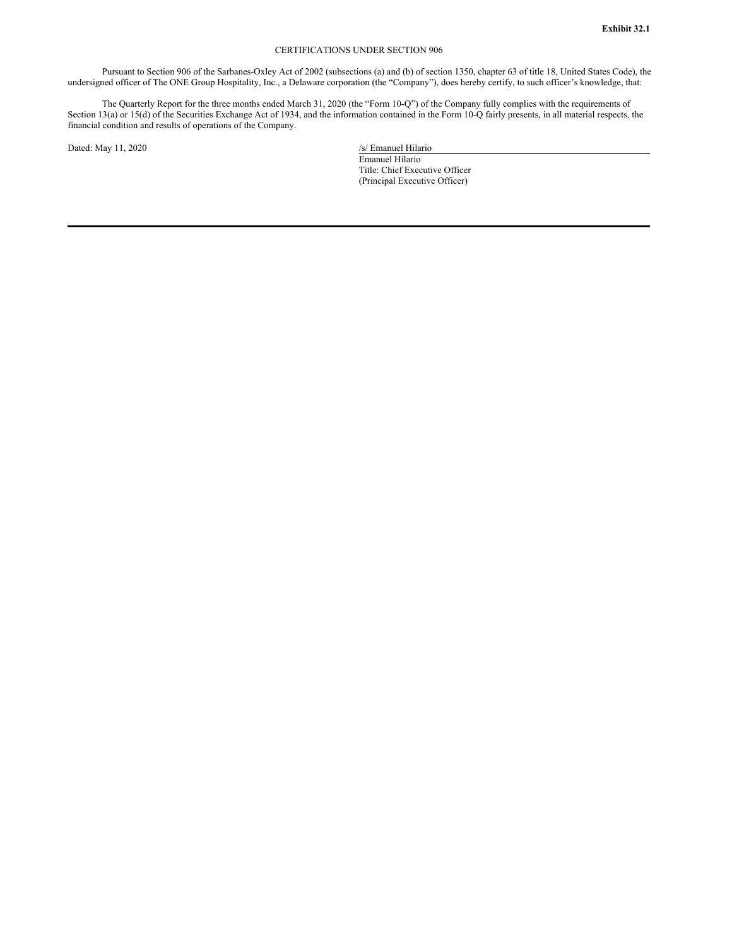## CERTIFICATIONS UNDER SECTION 906

<span id="page-31-0"></span>Pursuant to Section 906 of the Sarbanes-Oxley Act of 2002 (subsections (a) and (b) of section 1350, chapter 63 of title 18, United States Code), the undersigned officer of The ONE Group Hospitality, Inc., a Delaware corporation (the "Company"), does hereby certify, to such officer's knowledge, that:

The Quarterly Report for the three months ended March 31, 2020 (the "Form 10-Q") of the Company fully complies with the requirements of Section 13(a) or 15(d) of the Securities Exchange Act of 1934, and the information contained in the Form 10-Q fairly presents, in all material respects, the financial condition and results of operations of the Company.

Dated: May 11, 2020 /s/ Emanuel Hilario

Emanuel Hilario Title: Chief Executive Officer

(Principal Executive Officer)